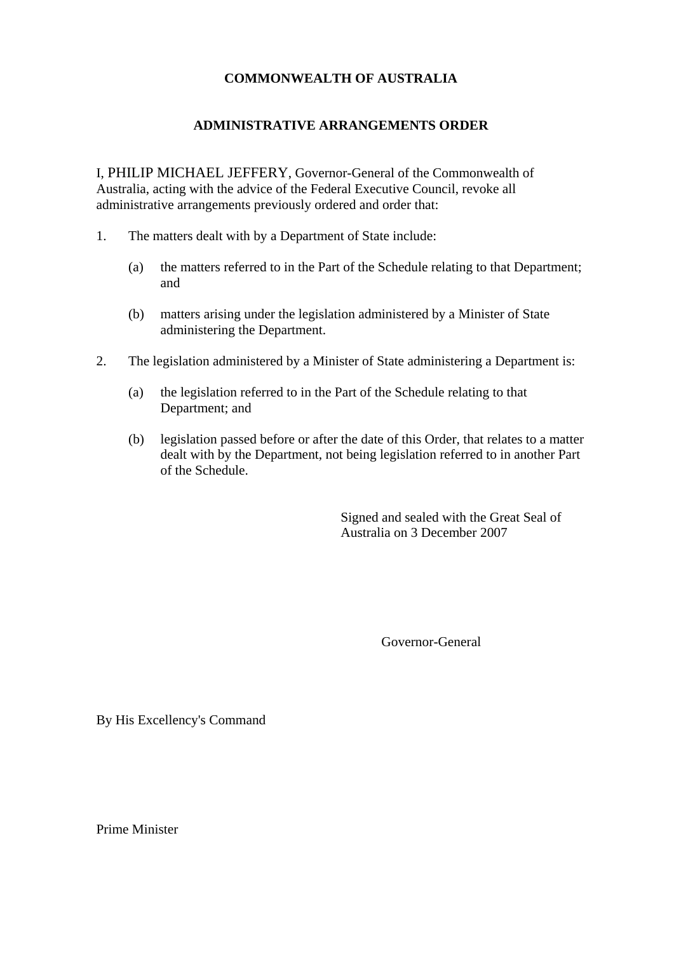## **COMMONWEALTH OF AUSTRALIA**

## **ADMINISTRATIVE ARRANGEMENTS ORDER**

I, PHILIP MICHAEL JEFFERY, Governor-General of the Commonwealth of Australia, acting with the advice of the Federal Executive Council, revoke all administrative arrangements previously ordered and order that:

- 1. The matters dealt with by a Department of State include:
	- (a) the matters referred to in the Part of the Schedule relating to that Department; and
	- (b) matters arising under the legislation administered by a Minister of State administering the Department.
- 2. The legislation administered by a Minister of State administering a Department is:
	- (a) the legislation referred to in the Part of the Schedule relating to that Department; and
	- (b) legislation passed before or after the date of this Order, that relates to a matter dealt with by the Department, not being legislation referred to in another Part of the Schedule.

Signed and sealed with the Great Seal of Australia on 3 December 2007

Governor-General

By His Excellency's Command

Prime Minister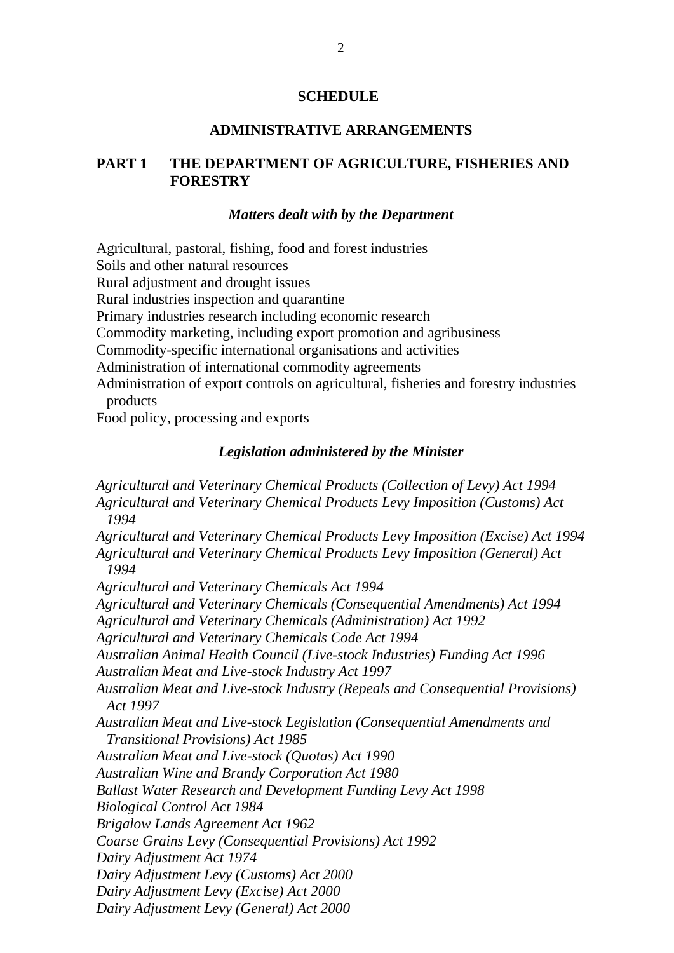#### **SCHEDULE**

## **ADMINISTRATIVE ARRANGEMENTS**

## **PART 1 THE DEPARTMENT OF AGRICULTURE, FISHERIES AND FORESTRY**

#### *Matters dealt with by the Department*

Agricultural, pastoral, fishing, food and forest industries

Soils and other natural resources

Rural adjustment and drought issues

Rural industries inspection and quarantine

Primary industries research including economic research

Commodity marketing, including export promotion and agribusiness

Commodity-specific international organisations and activities

Administration of international commodity agreements

Administration of export controls on agricultural, fisheries and forestry industries products

Food policy, processing and exports

## *Legislation administered by the Minister*

*Agricultural and Veterinary Chemical Products (Collection of Levy) Act 1994 Agricultural and Veterinary Chemical Products Levy Imposition (Customs) Act 1994 Agricultural and Veterinary Chemical Products Levy Imposition (Excise) Act 1994 Agricultural and Veterinary Chemical Products Levy Imposition (General) Act 1994 Agricultural and Veterinary Chemicals Act 1994 Agricultural and Veterinary Chemicals (Consequential Amendments) Act 1994 Agricultural and Veterinary Chemicals (Administration) Act 1992 Agricultural and Veterinary Chemicals Code Act 1994 Australian Animal Health Council (Live-stock Industries) Funding Act 1996 Australian Meat and Live-stock Industry Act 1997 Australian Meat and Live-stock Industry (Repeals and Consequential Provisions) Act 1997 Australian Meat and Live-stock Legislation (Consequential Amendments and Transitional Provisions) Act 1985 Australian Meat and Live-stock (Quotas) Act 1990 Australian Wine and Brandy Corporation Act 1980 Ballast Water Research and Development Funding Levy Act 1998 Biological Control Act 1984 Brigalow Lands Agreement Act 1962 Coarse Grains Levy (Consequential Provisions) Act 1992 Dairy Adjustment Act 1974 Dairy Adjustment Levy (Customs) Act 2000 Dairy Adjustment Levy (Excise) Act 2000 Dairy Adjustment Levy (General) Act 2000*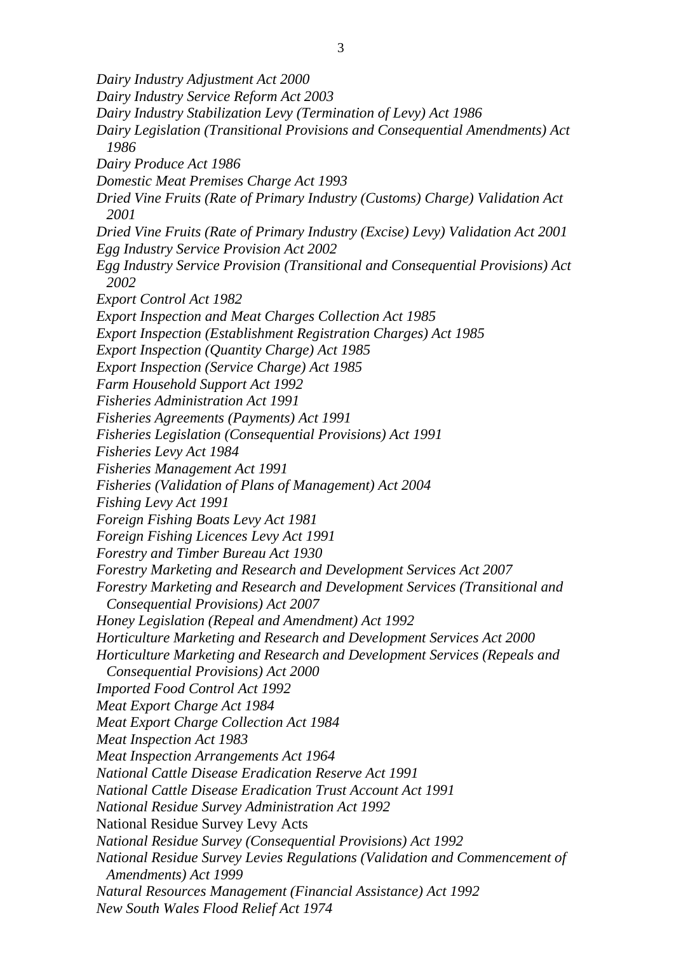*Dairy Industry Adjustment Act 2000 Dairy Industry Service Reform Act 2003 Dairy Industry Stabilization Levy (Termination of Levy) Act 1986 Dairy Legislation (Transitional Provisions and Consequential Amendments) Act 1986 Dairy Produce Act 1986 Domestic Meat Premises Charge Act 1993 Dried Vine Fruits (Rate of Primary Industry (Customs) Charge) Validation Act 2001 Dried Vine Fruits (Rate of Primary Industry (Excise) Levy) Validation Act 2001 Egg Industry Service Provision Act 2002 Egg Industry Service Provision (Transitional and Consequential Provisions) Act 2002 Export Control Act 1982 Export Inspection and Meat Charges Collection Act 1985 Export Inspection (Establishment Registration Charges) Act 1985 Export Inspection (Quantity Charge) Act 1985 Export Inspection (Service Charge) Act 1985 Farm Household Support Act 1992 Fisheries Administration Act 1991 Fisheries Agreements (Payments) Act 1991 Fisheries Legislation (Consequential Provisions) Act 1991 Fisheries Levy Act 1984 Fisheries Management Act 1991 Fisheries (Validation of Plans of Management) Act 2004 Fishing Levy Act 1991 Foreign Fishing Boats Levy Act 1981 Foreign Fishing Licences Levy Act 1991 Forestry and Timber Bureau Act 1930 Forestry Marketing and Research and Development Services Act 2007 Forestry Marketing and Research and Development Services (Transitional and Consequential Provisions) Act 2007 Honey Legislation (Repeal and Amendment) Act 1992 Horticulture Marketing and Research and Development Services Act 2000 Horticulture Marketing and Research and Development Services (Repeals and Consequential Provisions) Act 2000 Imported Food Control Act 1992 Meat Export Charge Act 1984 Meat Export Charge Collection Act 1984 Meat Inspection Act 1983 Meat Inspection Arrangements Act 1964 National Cattle Disease Eradication Reserve Act 1991 National Cattle Disease Eradication Trust Account Act 1991 National Residue Survey Administration Act 1992*  National Residue Survey Levy Acts *National Residue Survey (Consequential Provisions) Act 1992 National Residue Survey Levies Regulations (Validation and Commencement of Amendments) Act 1999 Natural Resources Management (Financial Assistance) Act 1992 New South Wales Flood Relief Act 1974*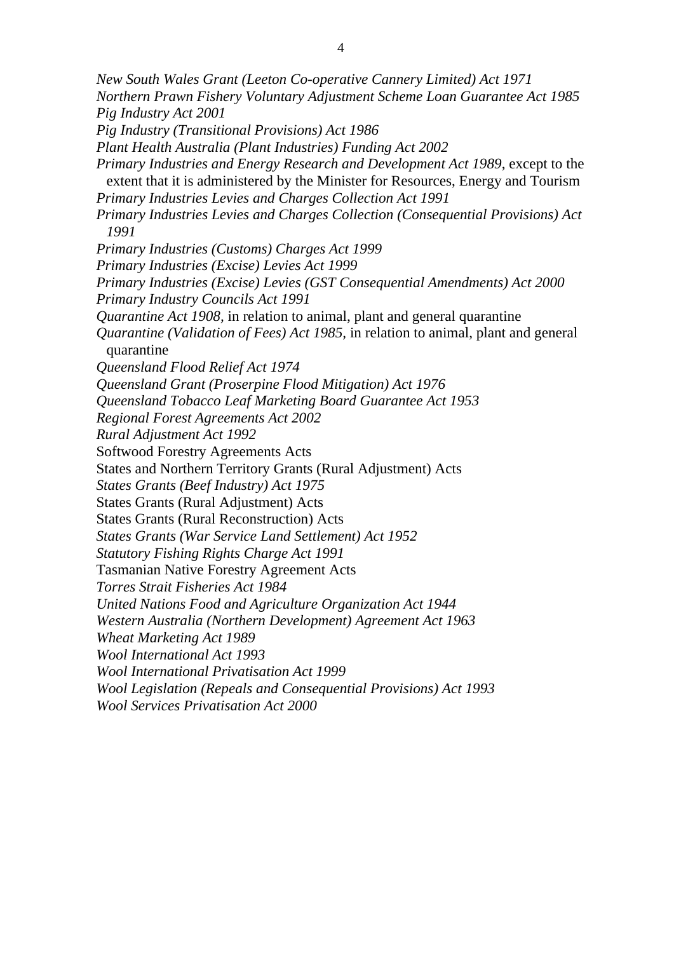*New South Wales Grant (Leeton Co-operative Cannery Limited) Act 1971 Northern Prawn Fishery Voluntary Adjustment Scheme Loan Guarantee Act 1985 Pig Industry Act 2001 Pig Industry (Transitional Provisions) Act 1986 Plant Health Australia (Plant Industries) Funding Act 2002 Primary Industries and Energy Research and Development Act 1989*, except to the extent that it is administered by the Minister for Resources, Energy and Tourism *Primary Industries Levies and Charges Collection Act 1991 Primary Industries Levies and Charges Collection (Consequential Provisions) Act 1991 Primary Industries (Customs) Charges Act 1999 Primary Industries (Excise) Levies Act 1999 Primary Industries (Excise) Levies (GST Consequential Amendments) Act 2000 Primary Industry Councils Act 1991 Quarantine Act 1908, in relation to animal, plant and general quarantine Quarantine (Validation of Fees) Act 1985,* in relation to animal, plant and general quarantine *Queensland Flood Relief Act 1974 Queensland Grant (Proserpine Flood Mitigation) Act 1976 Queensland Tobacco Leaf Marketing Board Guarantee Act 1953 Regional Forest Agreements Act 2002 Rural Adjustment Act 1992*  Softwood Forestry Agreements Acts States and Northern Territory Grants (Rural Adjustment) Acts *States Grants (Beef Industry) Act 1975*  States Grants (Rural Adjustment) Acts States Grants (Rural Reconstruction) Acts *States Grants (War Service Land Settlement) Act 1952 Statutory Fishing Rights Charge Act 1991*  Tasmanian Native Forestry Agreement Acts *Torres Strait Fisheries Act 1984 United Nations Food and Agriculture Organization Act 1944 Western Australia (Northern Development) Agreement Act 1963 Wheat Marketing Act 1989 Wool International Act 1993 Wool International Privatisation Act 1999 Wool Legislation (Repeals and Consequential Provisions) Act 1993 Wool Services Privatisation Act 2000*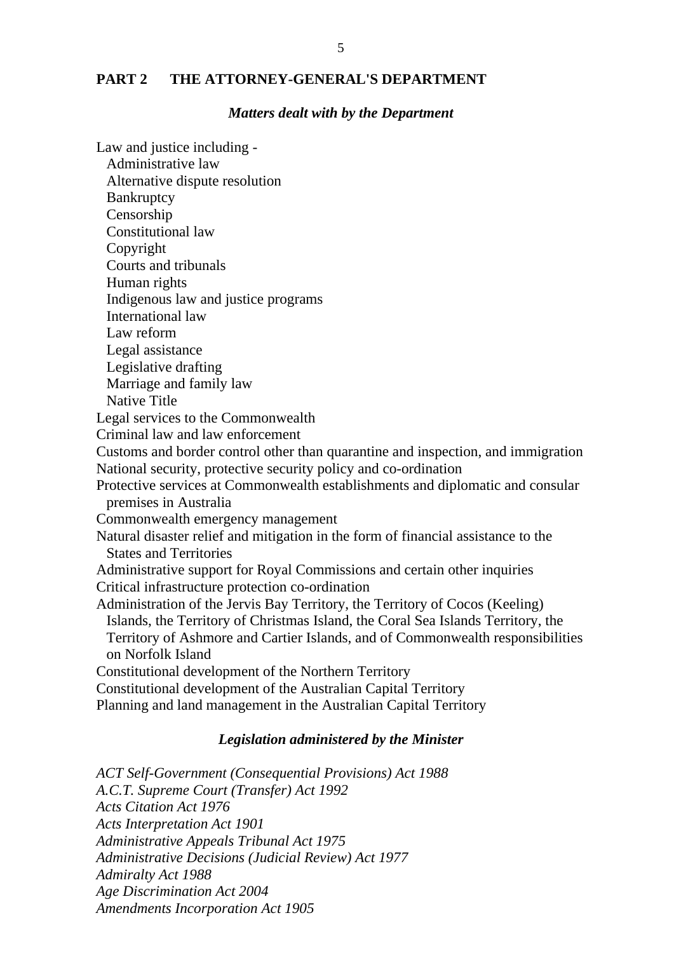## **PART 2 THE ATTORNEY-GENERAL'S DEPARTMENT**

## *Matters dealt with by the Department*

Law and justice including - Administrative law Alternative dispute resolution **Bankruptcy** Censorship Constitutional law Copyright Courts and tribunals Human rights Indigenous law and justice programs International law Law reform Legal assistance Legislative drafting Marriage and family law Native Title Legal services to the Commonwealth Criminal law and law enforcement Customs and border control other than quarantine and inspection, and immigration National security, protective security policy and co-ordination Protective services at Commonwealth establishments and diplomatic and consular premises in Australia Commonwealth emergency management Natural disaster relief and mitigation in the form of financial assistance to the States and Territories Administrative support for Royal Commissions and certain other inquiries Critical infrastructure protection co-ordination Administration of the Jervis Bay Territory, the Territory of Cocos (Keeling) Islands, the Territory of Christmas Island, the Coral Sea Islands Territory, the Territory of Ashmore and Cartier Islands, and of Commonwealth responsibilities on Norfolk Island Constitutional development of the Northern Territory Constitutional development of the Australian Capital Territory Planning and land management in the Australian Capital Territory

#### *Legislation administered by the Minister*

*ACT Self-Government (Consequential Provisions) Act 1988 A.C.T. Supreme Court (Transfer) Act 1992 Acts Citation Act 1976 Acts Interpretation Act 1901 Administrative Appeals Tribunal Act 1975 Administrative Decisions (Judicial Review) Act 1977 Admiralty Act 1988 Age Discrimination Act 2004 Amendments Incorporation Act 1905*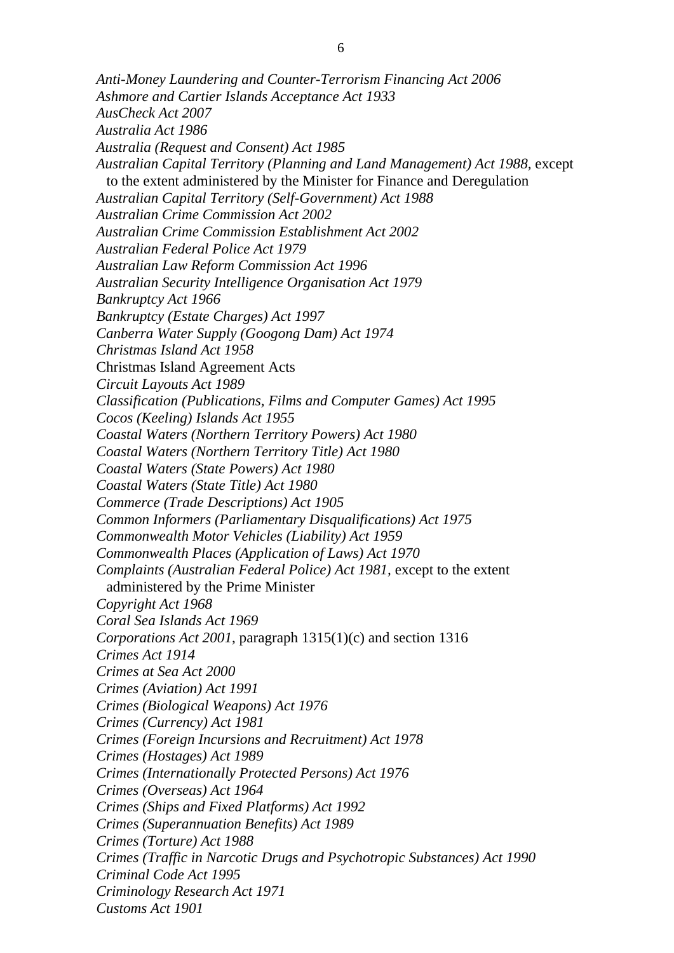*Anti-Money Laundering and Counter-Terrorism Financing Act 2006 Ashmore and Cartier Islands Acceptance Act 1933 AusCheck Act 2007 Australia Act 1986 Australia (Request and Consent) Act 1985 Australian Capital Territory (Planning and Land Management) Act 1988,* except to the extent administered by the Minister for Finance and Deregulation *Australian Capital Territory (Self-Government) Act 1988 Australian Crime Commission Act 2002 Australian Crime Commission Establishment Act 2002 Australian Federal Police Act 1979 Australian Law Reform Commission Act 1996 Australian Security Intelligence Organisation Act 1979 Bankruptcy Act 1966 Bankruptcy (Estate Charges) Act 1997 Canberra Water Supply (Googong Dam) Act 1974 Christmas Island Act 1958*  Christmas Island Agreement Acts *Circuit Layouts Act 1989 Classification (Publications, Films and Computer Games) Act 1995 Cocos (Keeling) Islands Act 1955 Coastal Waters (Northern Territory Powers) Act 1980 Coastal Waters (Northern Territory Title) Act 1980 Coastal Waters (State Powers) Act 1980 Coastal Waters (State Title) Act 1980 Commerce (Trade Descriptions) Act 1905 Common Informers (Parliamentary Disqualifications) Act 1975 Commonwealth Motor Vehicles (Liability) Act 1959 Commonwealth Places (Application of Laws) Act 1970 Complaints (Australian Federal Police) Act 1981,* except to the extent administered by the Prime Minister *Copyright Act 1968 Coral Sea Islands Act 1969 Corporations Act 2001*, paragraph 1315(1)(c) and section 1316 *Crimes Act 1914 Crimes at Sea Act 2000 Crimes (Aviation) Act 1991 Crimes (Biological Weapons) Act 1976 Crimes (Currency) Act 1981 Crimes (Foreign Incursions and Recruitment) Act 1978 Crimes (Hostages) Act 1989 Crimes (Internationally Protected Persons) Act 1976 Crimes (Overseas) Act 1964 Crimes (Ships and Fixed Platforms) Act 1992 Crimes (Superannuation Benefits) Act 1989 Crimes (Torture) Act 1988 Crimes (Traffic in Narcotic Drugs and Psychotropic Substances) Act 1990 Criminal Code Act 1995 Criminology Research Act 1971 Customs Act 1901*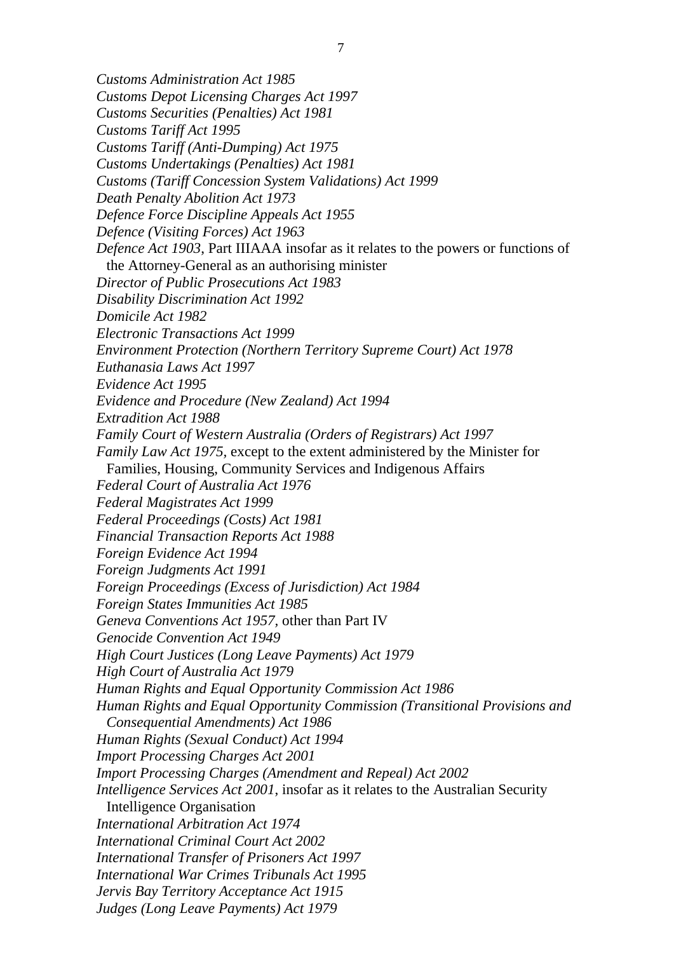- *Customs Administration Act 1985 Customs Depot Licensing Charges Act 1997 Customs Securities (Penalties) Act 1981 Customs Tariff Act 1995 Customs Tariff (Anti-Dumping) Act 1975* 
	- *Customs Undertakings (Penalties) Act 1981*
	- *Customs (Tariff Concession System Validations) Act 1999*
	- *Death Penalty Abolition Act 1973*
	- *Defence Force Discipline Appeals Act 1955*
	- *Defence (Visiting Forces) Act 1963*
	- *Defence Act 1903*, Part IIIAAA insofar as it relates to the powers or functions of the Attorney-General as an authorising minister
	- *Director of Public Prosecutions Act 1983*
	- *Disability Discrimination Act 1992*
	- *Domicile Act 1982*
	- *Electronic Transactions Act 1999*
	- *Environment Protection (Northern Territory Supreme Court) Act 1978*
	- *Euthanasia Laws Act 1997*
	- *Evidence Act 1995*
	- *Evidence and Procedure (New Zealand) Act 1994*
	- *Extradition Act 1988*
	- *Family Court of Western Australia (Orders of Registrars) Act 1997*
	- *Family Law Act 1975,* except to the extent administered by the Minister for
	- Families, Housing, Community Services and Indigenous Affairs
	- *Federal Court of Australia Act 1976*
	- *Federal Magistrates Act 1999*
	- *Federal Proceedings (Costs) Act 1981*
	- *Financial Transaction Reports Act 1988*
	- *Foreign Evidence Act 1994*
	- *Foreign Judgments Act 1991*
	- *Foreign Proceedings (Excess of Jurisdiction) Act 1984*
	- *Foreign States Immunities Act 1985*
	- *Geneva Conventions Act 1957,* other than Part IV
	- *Genocide Convention Act 1949*
	- *High Court Justices (Long Leave Payments) Act 1979*
	- *High Court of Australia Act 1979*
	- *Human Rights and Equal Opportunity Commission Act 1986*
	- *Human Rights and Equal Opportunity Commission (Transitional Provisions and*
	- *Consequential Amendments) Act 1986*
	- *Human Rights (Sexual Conduct) Act 1994*
	- *Import Processing Charges Act 2001*
	- *Import Processing Charges (Amendment and Repeal) Act 2002*
	- *Intelligence Services Act 2001*, insofar as it relates to the Australian Security
	- Intelligence Organisation
	- *International Arbitration Act 1974*
	- *International Criminal Court Act 2002*
	- *International Transfer of Prisoners Act 1997*
	- *International War Crimes Tribunals Act 1995*
	- *Jervis Bay Territory Acceptance Act 1915*
	- *Judges (Long Leave Payments) Act 1979*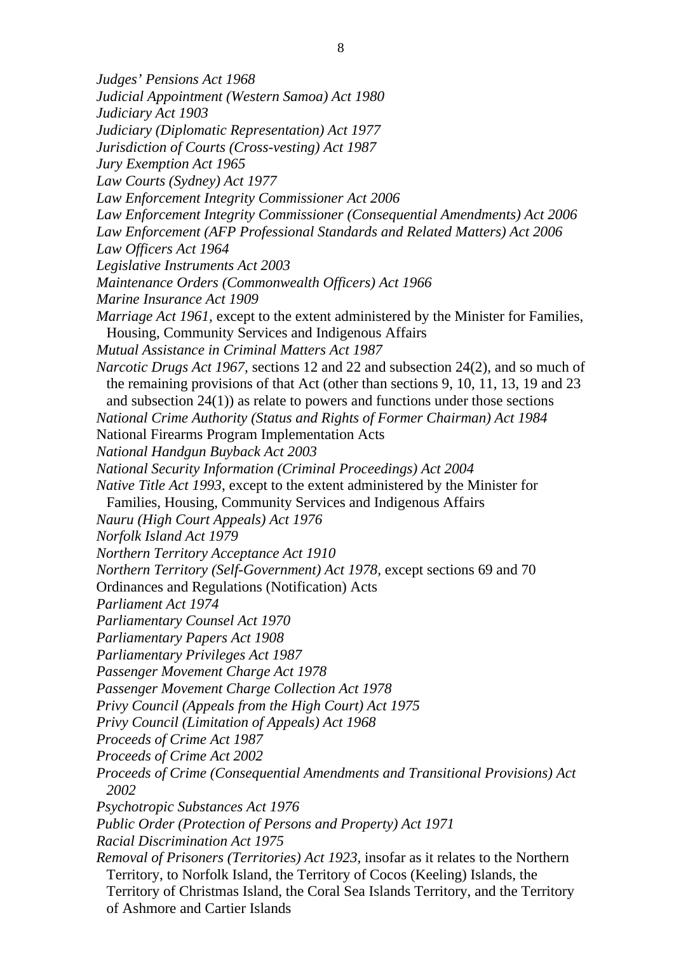*Judges' Pensions Act 1968 Judicial Appointment (Western Samoa) Act 1980 Judiciary Act 1903 Judiciary (Diplomatic Representation) Act 1977 Jurisdiction of Courts (Cross-vesting) Act 1987 Jury Exemption Act 1965 Law Courts (Sydney) Act 1977 Law Enforcement Integrity Commissioner Act 2006 Law Enforcement Integrity Commissioner (Consequential Amendments) Act 2006 Law Enforcement (AFP Professional Standards and Related Matters) Act 2006 Law Officers Act 1964 Legislative Instruments Act 2003 Maintenance Orders (Commonwealth Officers) Act 1966 Marine Insurance Act 1909 Marriage Act 1961*, except to the extent administered by the Minister for Families, Housing, Community Services and Indigenous Affairs *Mutual Assistance in Criminal Matters Act 1987 Narcotic Drugs Act 1967,* sections 12 and 22 and subsection 24(2), and so much of the remaining provisions of that Act (other than sections 9, 10, 11, 13, 19 and 23 and subsection 24(1)) as relate to powers and functions under those sections *National Crime Authority (Status and Rights of Former Chairman) Act 1984*  National Firearms Program Implementation Acts *National Handgun Buyback Act 2003 National Security Information (Criminal Proceedings) Act 2004 Native Title Act 1993*, except to the extent administered by the Minister for Families, Housing, Community Services and Indigenous Affairs *Nauru (High Court Appeals) Act 1976 Norfolk Island Act 1979 Northern Territory Acceptance Act 1910 Northern Territory (Self-Government) Act 1978, except sections 69 and 70* Ordinances and Regulations (Notification) Acts *Parliament Act 1974 Parliamentary Counsel Act 1970 Parliamentary Papers Act 1908 Parliamentary Privileges Act 1987 Passenger Movement Charge Act 1978 Passenger Movement Charge Collection Act 1978 Privy Council (Appeals from the High Court) Act 1975 Privy Council (Limitation of Appeals) Act 1968 Proceeds of Crime Act 1987 Proceeds of Crime Act 2002 Proceeds of Crime (Consequential Amendments and Transitional Provisions) Act 2002 Psychotropic Substances Act 1976 Public Order (Protection of Persons and Property) Act 1971 Racial Discrimination Act 1975 Removal of Prisoners (Territories) Act 1923,* insofar as it relates to the Northern Territory, to Norfolk Island, the Territory of Cocos (Keeling) Islands, the Territory of Christmas Island, the Coral Sea Islands Territory, and the Territory of Ashmore and Cartier Islands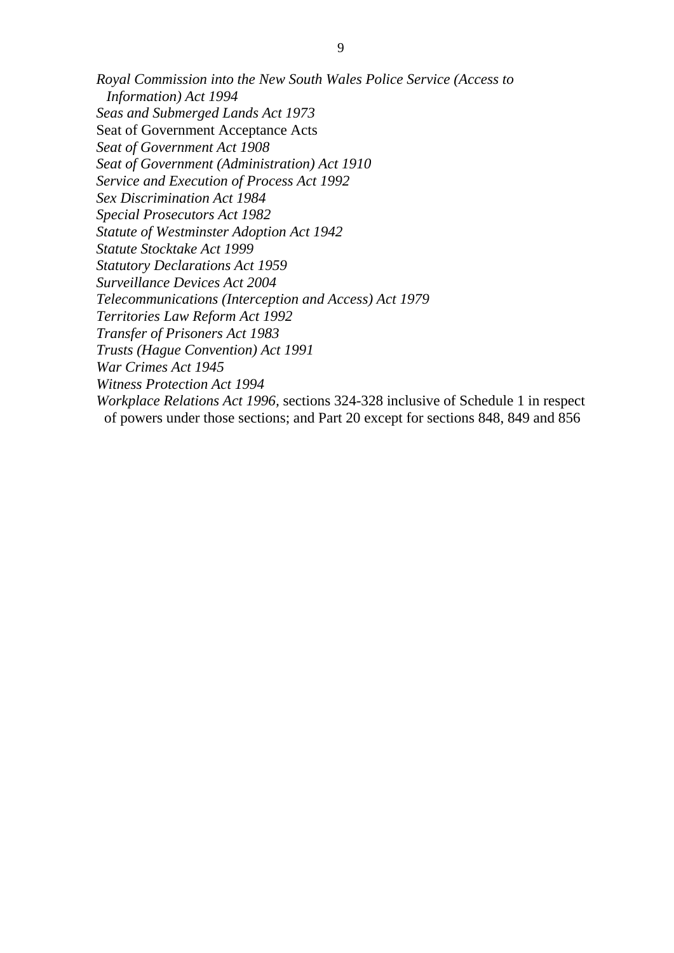*Royal Commission into the New South Wales Police Service (Access to Information) Act 1994 Seas and Submerged Lands Act 1973*  Seat of Government Acceptance Acts *Seat of Government Act 1908 Seat of Government (Administration) Act 1910 Service and Execution of Process Act 1992 Sex Discrimination Act 1984 Special Prosecutors Act 1982 Statute of Westminster Adoption Act 1942 Statute Stocktake Act 1999 Statutory Declarations Act 1959 Surveillance Devices Act 2004 Telecommunications (Interception and Access) Act 1979 Territories Law Reform Act 1992 Transfer of Prisoners Act 1983 Trusts (Hague Convention) Act 1991 War Crimes Act 1945 Witness Protection Act 1994* 

*Workplace Relations Act 1996,* sections 324-328 inclusive of Schedule 1 in respect of powers under those sections; and Part 20 except for sections 848, 849 and 856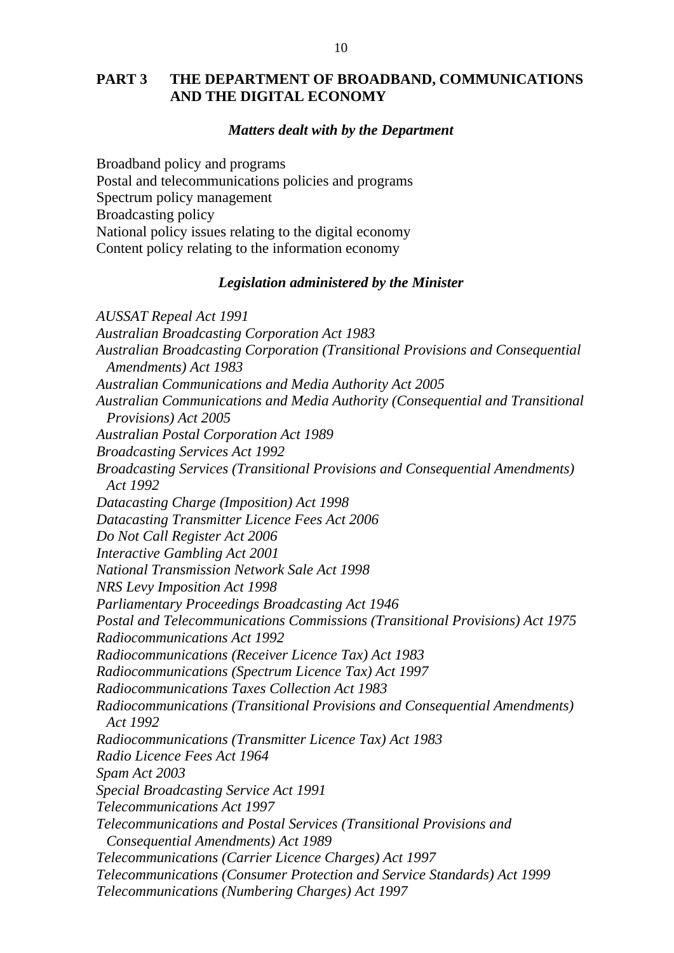## **PART 3 THE DEPARTMENT OF BROADBAND, COMMUNICATIONS AND THE DIGITAL ECONOMY**

## *Matters dealt with by the Department*

Broadband policy and programs Postal and telecommunications policies and programs Spectrum policy management Broadcasting policy National policy issues relating to the digital economy Content policy relating to the information economy

## *Legislation administered by the Minister*

*AUSSAT Repeal Act 1991 Australian Broadcasting Corporation Act 1983 Australian Broadcasting Corporation (Transitional Provisions and Consequential Amendments) Act 1983 Australian Communications and Media Authority Act 2005 Australian Communications and Media Authority (Consequential and Transitional Provisions) Act 2005 Australian Postal Corporation Act 1989 Broadcasting Services Act 1992 Broadcasting Services (Transitional Provisions and Consequential Amendments) Act 1992 Datacasting Charge (Imposition) Act 1998 Datacasting Transmitter Licence Fees Act 2006 Do Not Call Register Act 2006 Interactive Gambling Act 2001 National Transmission Network Sale Act 1998 NRS Levy Imposition Act 1998 Parliamentary Proceedings Broadcasting Act 1946 Postal and Telecommunications Commissions (Transitional Provisions) Act 1975 Radiocommunications Act 1992 Radiocommunications (Receiver Licence Tax) Act 1983 Radiocommunications (Spectrum Licence Tax) Act 1997 Radiocommunications Taxes Collection Act 1983 Radiocommunications (Transitional Provisions and Consequential Amendments) Act 1992 Radiocommunications (Transmitter Licence Tax) Act 1983 Radio Licence Fees Act 1964 Spam Act 2003 Special Broadcasting Service Act 1991 Telecommunications Act 1997 Telecommunications and Postal Services (Transitional Provisions and Consequential Amendments) Act 1989 Telecommunications (Carrier Licence Charges) Act 1997 Telecommunications (Consumer Protection and Service Standards) Act 1999 Telecommunications (Numbering Charges) Act 1997*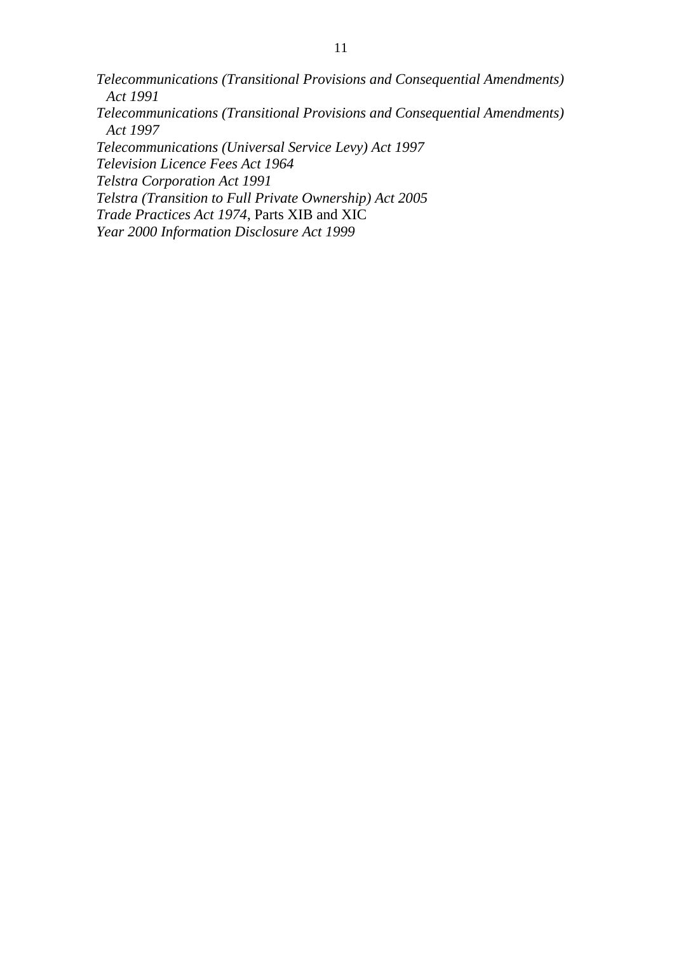*Telecommunications (Transitional Provisions and Consequential Amendments) Act 1991 Telecommunications (Transitional Provisions and Consequential Amendments) Act 1997 Telecommunications (Universal Service Levy) Act 1997 Television Licence Fees Act 1964 Telstra Corporation Act 1991 Telstra (Transition to Full Private Ownership) Act 2005 Trade Practices Act 1974*, Parts XIB and XIC *Year 2000 Information Disclosure Act 1999*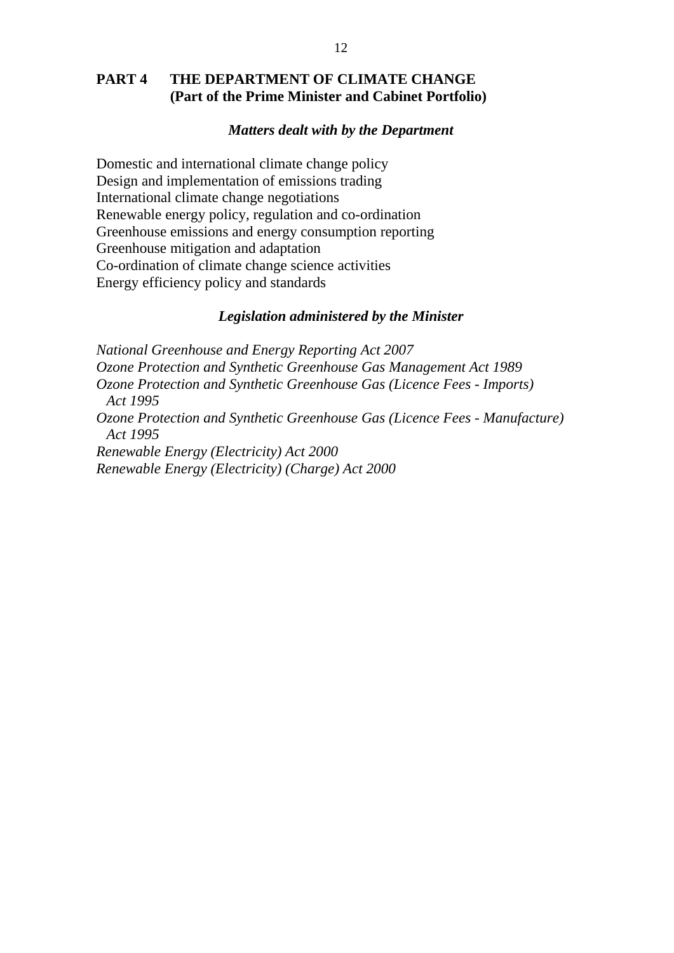## **PART 4 THE DEPARTMENT OF CLIMATE CHANGE (Part of the Prime Minister and Cabinet Portfolio)**

## *Matters dealt with by the Department*

Domestic and international climate change policy Design and implementation of emissions trading International climate change negotiations Renewable energy policy, regulation and co-ordination Greenhouse emissions and energy consumption reporting Greenhouse mitigation and adaptation Co-ordination of climate change science activities Energy efficiency policy and standards

#### *Legislation administered by the Minister*

*National Greenhouse and Energy Reporting Act 2007 Ozone Protection and Synthetic Greenhouse Gas Management Act 1989 Ozone Protection and Synthetic Greenhouse Gas (Licence Fees - Imports) Act 1995 Ozone Protection and Synthetic Greenhouse Gas (Licence Fees - Manufacture) Act 1995 Renewable Energy (Electricity) Act 2000 Renewable Energy (Electricity) (Charge) Act 2000*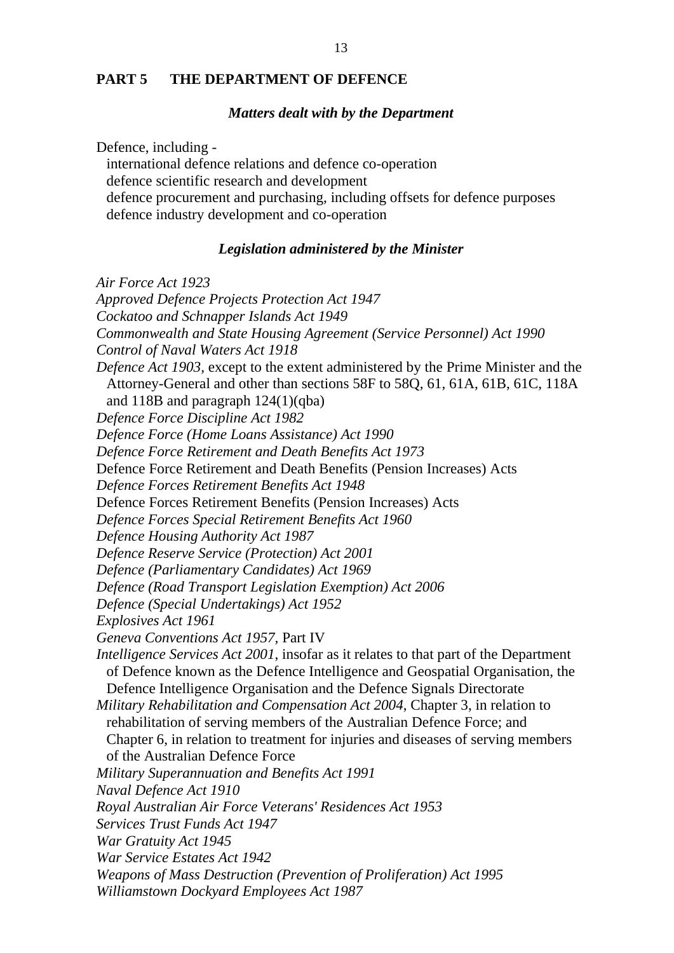## **PART 5 THE DEPARTMENT OF DEFENCE**

#### *Matters dealt with by the Department*

Defence, including -

international defence relations and defence co-operation defence scientific research and development defence procurement and purchasing, including offsets for defence purposes defence industry development and co-operation

## *Legislation administered by the Minister*

*Air Force Act 1923 Approved Defence Projects Protection Act 1947 Cockatoo and Schnapper Islands Act 1949 Commonwealth and State Housing Agreement (Service Personnel) Act 1990 Control of Naval Waters Act 1918 Defence Act 1903,* except to the extent administered by the Prime Minister and the Attorney-General and other than sections 58F to 58Q, 61, 61A, 61B, 61C, 118A and 118B and paragraph  $124(1)(qba)$ *Defence Force Discipline Act 1982 Defence Force (Home Loans Assistance) Act 1990 Defence Force Retirement and Death Benefits Act 1973*  Defence Force Retirement and Death Benefits (Pension Increases) Acts *Defence Forces Retirement Benefits Act 1948*  Defence Forces Retirement Benefits (Pension Increases) Acts *Defence Forces Special Retirement Benefits Act 1960 Defence Housing Authority Act 1987 Defence Reserve Service (Protection) Act 2001 Defence (Parliamentary Candidates) Act 1969 Defence (Road Transport Legislation Exemption) Act 2006 Defence (Special Undertakings) Act 1952 Explosives Act 1961 Geneva Conventions Act 1957,* Part IV *Intelligence Services Act 2001*, insofar as it relates to that part of the Department of Defence known as the Defence Intelligence and Geospatial Organisation, the Defence Intelligence Organisation and the Defence Signals Directorate *Military Rehabilitation and Compensation Act 2004*, Chapter 3, in relation to rehabilitation of serving members of the Australian Defence Force; and Chapter 6, in relation to treatment for injuries and diseases of serving members of the Australian Defence Force *Military Superannuation and Benefits Act 1991 Naval Defence Act 1910 Royal Australian Air Force Veterans' Residences Act 1953 Services Trust Funds Act 1947 War Gratuity Act 1945 War Service Estates Act 1942 Weapons of Mass Destruction (Prevention of Proliferation) Act 1995 Williamstown Dockyard Employees Act 1987*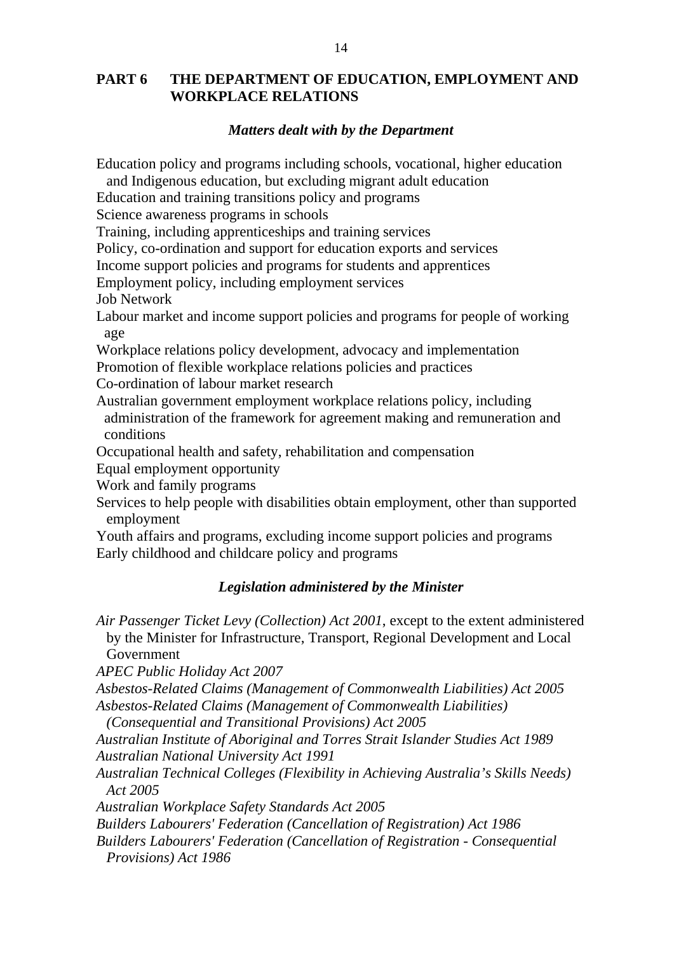# **PART 6 THE DEPARTMENT OF EDUCATION, EMPLOYMENT AND WORKPLACE RELATIONS**

## *Matters dealt with by the Department*

Education policy and programs including schools, vocational, higher education

and Indigenous education, but excluding migrant adult education

Education and training transitions policy and programs

Science awareness programs in schools

Training, including apprenticeships and training services

Policy, co-ordination and support for education exports and services

Income support policies and programs for students and apprentices

Employment policy, including employment services

Job Network

Labour market and income support policies and programs for people of working age

Workplace relations policy development, advocacy and implementation Promotion of flexible workplace relations policies and practices

Co-ordination of labour market research

Australian government employment workplace relations policy, including administration of the framework for agreement making and remuneration and conditions

Occupational health and safety, rehabilitation and compensation

Equal employment opportunity

Work and family programs

Services to help people with disabilities obtain employment, other than supported employment

Youth affairs and programs, excluding income support policies and programs Early childhood and childcare policy and programs

## *Legislation administered by the Minister*

*Air Passenger Ticket Levy (Collection) Act 2001*, except to the extent administered by the Minister for Infrastructure, Transport, Regional Development and Local Government

*APEC Public Holiday Act 2007* 

*Asbestos-Related Claims (Management of Commonwealth Liabilities) Act 2005 Asbestos-Related Claims (Management of Commonwealth Liabilities)* 

*(Consequential and Transitional Provisions) Act 2005* 

*Australian Institute of Aboriginal and Torres Strait Islander Studies Act 1989 Australian National University Act 1991* 

*Australian Technical Colleges (Flexibility in Achieving Australia's Skills Needs) Act 2005* 

*Australian Workplace Safety Standards Act 2005* 

*Builders Labourers' Federation (Cancellation of Registration) Act 1986* 

*Builders Labourers' Federation (Cancellation of Registration - Consequential Provisions) Act 1986*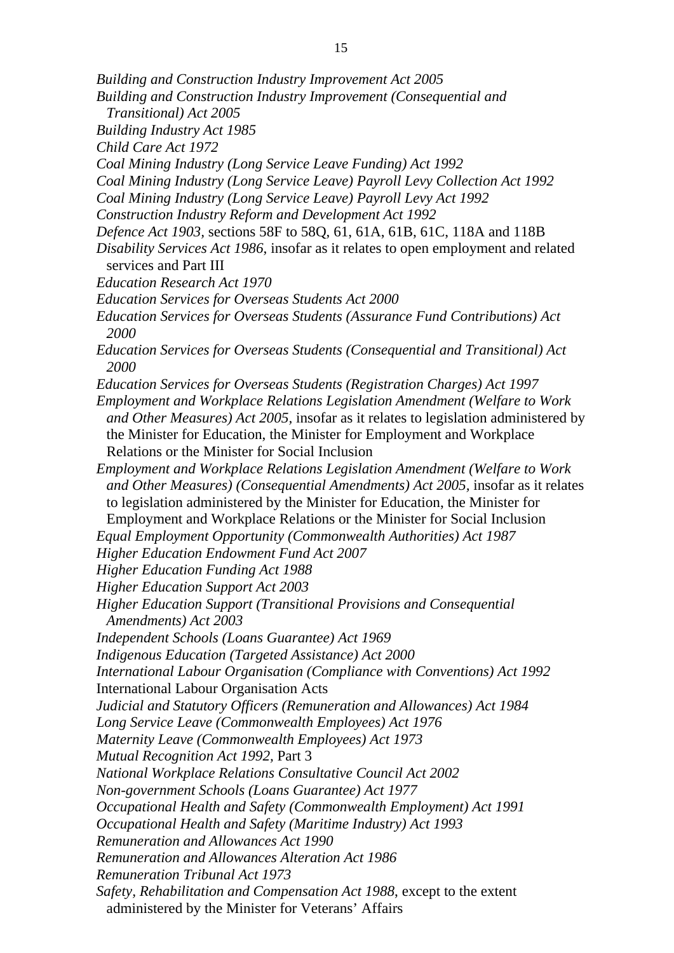- *Building and Construction Industry Improvement Act 2005*
- *Building and Construction Industry Improvement (Consequential and*
- *Transitional) Act 2005*
- *Building Industry Act 1985*
- *Child Care Act 1972*
- *Coal Mining Industry (Long Service Leave Funding) Act 1992*
- *Coal Mining Industry (Long Service Leave) Payroll Levy Collection Act 1992*
- *Coal Mining Industry (Long Service Leave) Payroll Levy Act 1992*
- *Construction Industry Reform and Development Act 1992*
- *Defence Act 1903,* sections 58F to 58Q, 61, 61A, 61B, 61C, 118A and 118B *Disability Services Act 1986*, insofar as it relates to open employment and related services and Part III
- *Education Research Act 1970*
- *Education Services for Overseas Students Act 2000*
- *Education Services for Overseas Students (Assurance Fund Contributions) Act 2000*
- *Education Services for Overseas Students (Consequential and Transitional) Act 2000*
- *Education Services for Overseas Students (Registration Charges) Act 1997*
- *Employment and Workplace Relations Legislation Amendment (Welfare to Work and Other Measures) Act 2005,* insofar as it relates to legislation administered by the Minister for Education, the Minister for Employment and Workplace Relations or the Minister for Social Inclusion
- *Employment and Workplace Relations Legislation Amendment (Welfare to Work and Other Measures) (Consequential Amendments) Act 2005, insofar as it relates* to legislation administered by the Minister for Education, the Minister for Employment and Workplace Relations or the Minister for Social Inclusion

*Equal Employment Opportunity (Commonwealth Authorities) Act 1987* 

- *Higher Education Endowment Fund Act 2007*
- *Higher Education Funding Act 1988*
- *Higher Education Support Act 2003*
- *Higher Education Support (Transitional Provisions and Consequential Amendments) Act 2003*
- *Independent Schools (Loans Guarantee) Act 1969*
- *Indigenous Education (Targeted Assistance) Act 2000*
- *International Labour Organisation (Compliance with Conventions) Act 1992*
- International Labour Organisation Acts
- *Judicial and Statutory Officers (Remuneration and Allowances) Act 1984*
- *Long Service Leave (Commonwealth Employees) Act 1976*
- *Maternity Leave (Commonwealth Employees) Act 1973*
- *Mutual Recognition Act 1992,* Part 3
- *National Workplace Relations Consultative Council Act 2002*
- *Non-government Schools (Loans Guarantee) Act 1977*
- *Occupational Health and Safety (Commonwealth Employment) Act 1991*
- *Occupational Health and Safety (Maritime Industry) Act 1993*
- *Remuneration and Allowances Act 1990*
- *Remuneration and Allowances Alteration Act 1986*
- *Remuneration Tribunal Act 1973*
- *Safety, Rehabilitation and Compensation Act 1988*, except to the extent administered by the Minister for Veterans' Affairs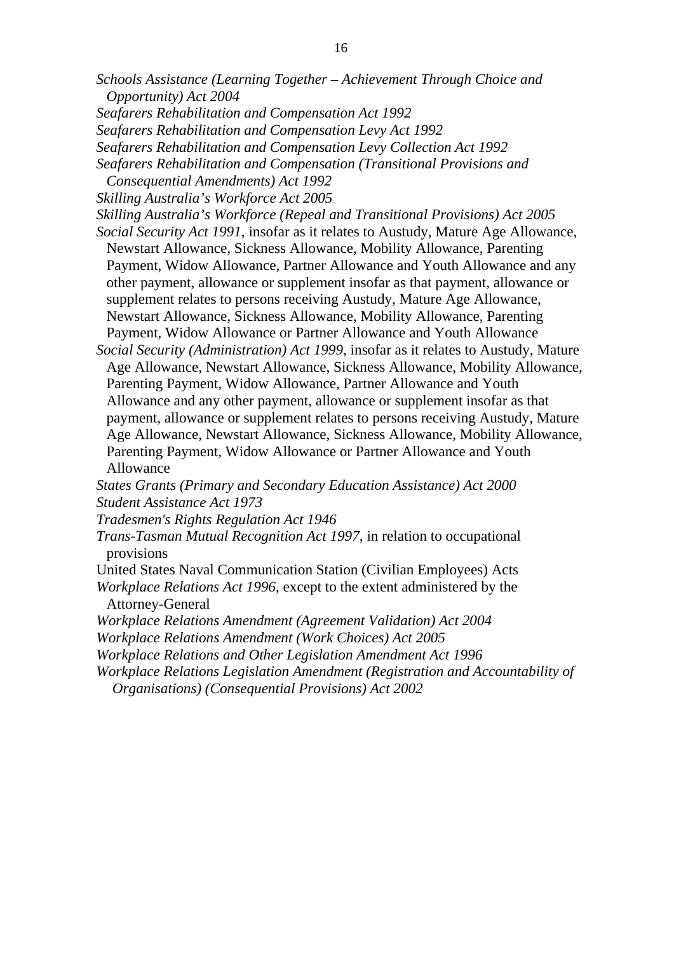- *Schools Assistance (Learning Together Achievement Through Choice and Opportunity) Act 2004*
- *Seafarers Rehabilitation and Compensation Act 1992*
- *Seafarers Rehabilitation and Compensation Levy Act 1992*
- *Seafarers Rehabilitation and Compensation Levy Collection Act 1992*
- *Seafarers Rehabilitation and Compensation (Transitional Provisions and*
- *Consequential Amendments) Act 1992*
- *Skilling Australia's Workforce Act 2005*

*Skilling Australia's Workforce (Repeal and Transitional Provisions) Act 2005* 

- *Social Security Act 1991*, insofar as it relates to Austudy, Mature Age Allowance, Newstart Allowance, Sickness Allowance, Mobility Allowance, Parenting Payment, Widow Allowance, Partner Allowance and Youth Allowance and any other payment, allowance or supplement insofar as that payment, allowance or supplement relates to persons receiving Austudy, Mature Age Allowance, Newstart Allowance, Sickness Allowance, Mobility Allowance, Parenting Payment, Widow Allowance or Partner Allowance and Youth Allowance
- *Social Security (Administration) Act 1999*, insofar as it relates to Austudy, Mature Age Allowance, Newstart Allowance, Sickness Allowance, Mobility Allowance, Parenting Payment, Widow Allowance, Partner Allowance and Youth Allowance and any other payment, allowance or supplement insofar as that payment, allowance or supplement relates to persons receiving Austudy, Mature Age Allowance, Newstart Allowance, Sickness Allowance, Mobility Allowance, Parenting Payment, Widow Allowance or Partner Allowance and Youth Allowance

*States Grants (Primary and Secondary Education Assistance) Act 2000 Student Assistance Act 1973*

- *Tradesmen's Rights Regulation Act 1946*
- *Trans-Tasman Mutual Recognition Act 1997*, in relation to occupational provisions
- United States Naval Communication Station (Civilian Employees) Acts *Workplace Relations Act 1996*, except to the extent administered by the Attorney-General
- *Workplace Relations Amendment (Agreement Validation) Act 2004*
- *Workplace Relations Amendment (Work Choices) Act 2005*
- *Workplace Relations and Other Legislation Amendment Act 1996*
- *Workplace Relations Legislation Amendment (Registration and Accountability of* 
	- *Organisations) (Consequential Provisions) Act 2002*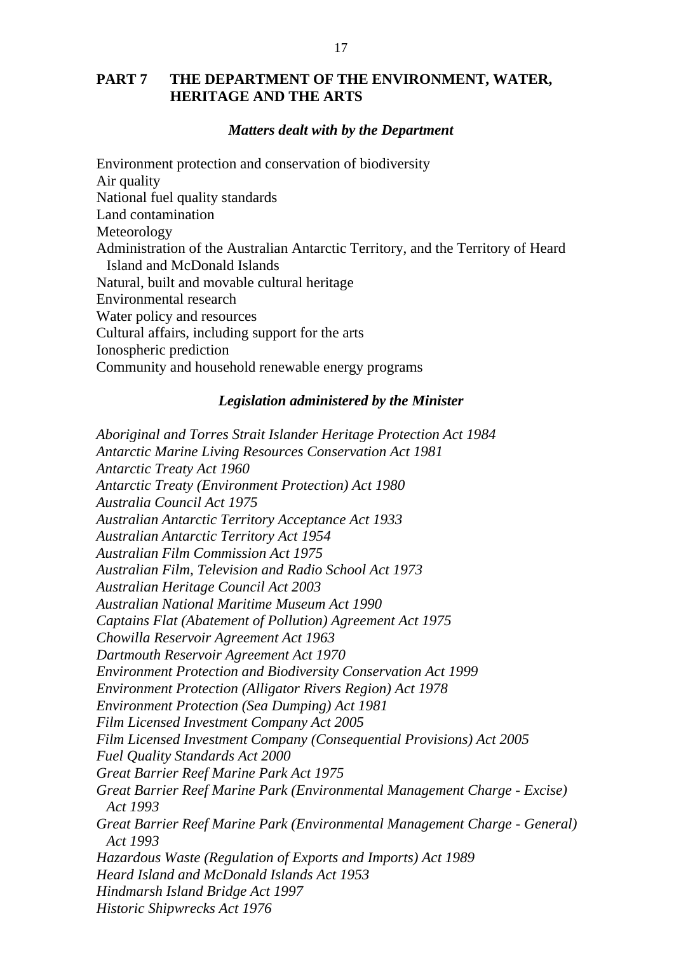# **PART 7 THE DEPARTMENT OF THE ENVIRONMENT, WATER, HERITAGE AND THE ARTS**

## *Matters dealt with by the Department*

Environment protection and conservation of biodiversity Air quality National fuel quality standards Land contamination Meteorology Administration of the Australian Antarctic Territory, and the Territory of Heard Island and McDonald Islands Natural, built and movable cultural heritage Environmental research Water policy and resources Cultural affairs, including support for the arts Ionospheric prediction Community and household renewable energy programs

#### *Legislation administered by the Minister*

*Aboriginal and Torres Strait Islander Heritage Protection Act 1984 Antarctic Marine Living Resources Conservation Act 1981 Antarctic Treaty Act 1960 Antarctic Treaty (Environment Protection) Act 1980 Australia Council Act 1975 Australian Antarctic Territory Acceptance Act 1933 Australian Antarctic Territory Act 1954 Australian Film Commission Act 1975 Australian Film, Television and Radio School Act 1973 Australian Heritage Council Act 2003 Australian National Maritime Museum Act 1990 Captains Flat (Abatement of Pollution) Agreement Act 1975 Chowilla Reservoir Agreement Act 1963 Dartmouth Reservoir Agreement Act 1970 Environment Protection and Biodiversity Conservation Act 1999 Environment Protection (Alligator Rivers Region) Act 1978 Environment Protection (Sea Dumping) Act 1981 Film Licensed Investment Company Act 2005 Film Licensed Investment Company (Consequential Provisions) Act 2005 Fuel Quality Standards Act 2000 Great Barrier Reef Marine Park Act 1975 Great Barrier Reef Marine Park (Environmental Management Charge - Excise) Act 1993 Great Barrier Reef Marine Park (Environmental Management Charge - General) Act 1993 Hazardous Waste (Regulation of Exports and Imports) Act 1989 Heard Island and McDonald Islands Act 1953 Hindmarsh Island Bridge Act 1997 Historic Shipwrecks Act 1976*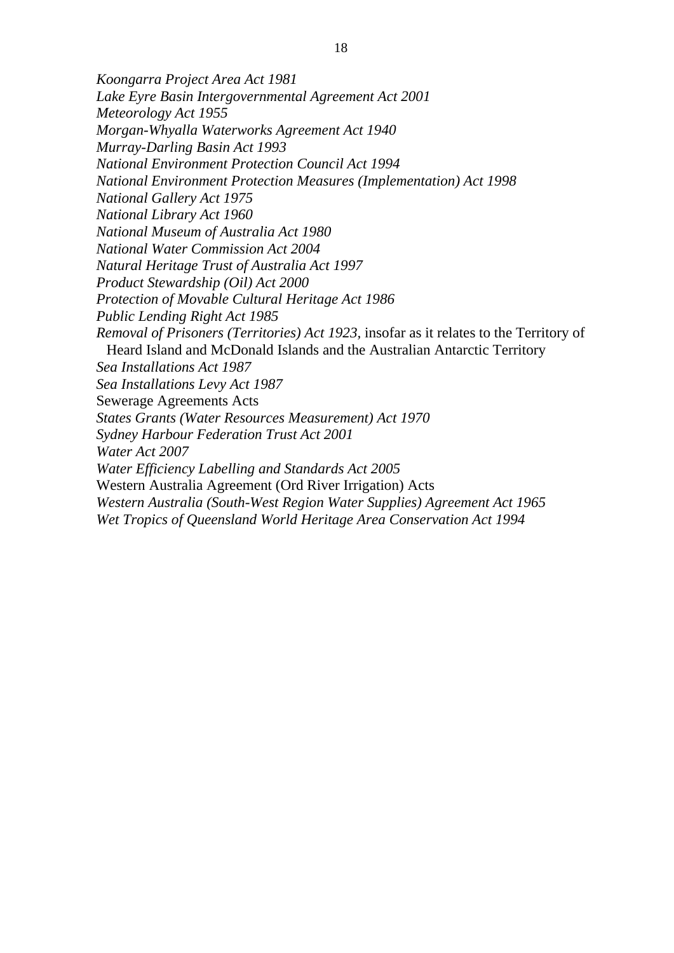*Koongarra Project Area Act 1981 Lake Eyre Basin Intergovernmental Agreement Act 2001 Meteorology Act 1955 Morgan-Whyalla Waterworks Agreement Act 1940 Murray-Darling Basin Act 1993 National Environment Protection Council Act 1994 National Environment Protection Measures (Implementation) Act 1998 National Gallery Act 1975 National Library Act 1960 National Museum of Australia Act 1980 National Water Commission Act 2004 Natural Heritage Trust of Australia Act 1997 Product Stewardship (Oil) Act 2000 Protection of Movable Cultural Heritage Act 1986 Public Lending Right Act 1985 Removal of Prisoners (Territories) Act 1923,* insofar as it relates to the Territory of Heard Island and McDonald Islands and the Australian Antarctic Territory *Sea Installations Act 1987 Sea Installations Levy Act 1987*  Sewerage Agreements Acts *States Grants (Water Resources Measurement) Act 1970 Sydney Harbour Federation Trust Act 2001 Water Act 2007 Water Efficiency Labelling and Standards Act 2005*  Western Australia Agreement (Ord River Irrigation) Acts *Western Australia (South-West Region Water Supplies) Agreement Act 1965 Wet Tropics of Queensland World Heritage Area Conservation Act 1994*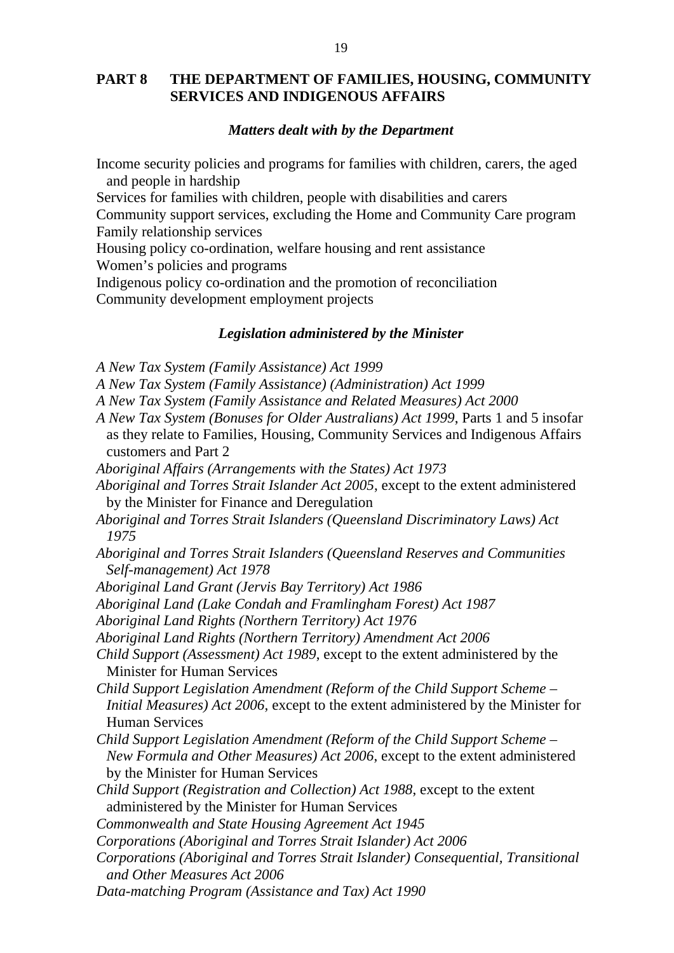## **PART 8 THE DEPARTMENT OF FAMILIES, HOUSING, COMMUNITY SERVICES AND INDIGENOUS AFFAIRS**

## *Matters dealt with by the Department*

Income security policies and programs for families with children, carers, the aged and people in hardship

Services for families with children, people with disabilities and carers

Community support services, excluding the Home and Community Care program Family relationship services

Housing policy co-ordination, welfare housing and rent assistance Women's policies and programs

Indigenous policy co-ordination and the promotion of reconciliation Community development employment projects

### *Legislation administered by the Minister*

*A New Tax System (Family Assistance) Act 1999* 

*A New Tax System (Family Assistance) (Administration) Act 1999* 

*A New Tax System (Family Assistance and Related Measures) Act 2000* 

- *A New Tax System (Bonuses for Older Australians) Act 1999*, Parts 1 and 5 insofar as they relate to Families, Housing, Community Services and Indigenous Affairs customers and Part 2
- *Aboriginal Affairs (Arrangements with the States) Act 1973*
- *Aboriginal and Torres Strait Islander Act 2005*, except to the extent administered by the Minister for Finance and Deregulation
- *Aboriginal and Torres Strait Islanders (Queensland Discriminatory Laws) Act 1975*
- *Aboriginal and Torres Strait Islanders (Queensland Reserves and Communities Self-management) Act 1978*
- *Aboriginal Land Grant (Jervis Bay Territory) Act 1986*

*Aboriginal Land (Lake Condah and Framlingham Forest) Act 1987* 

*Aboriginal Land Rights (Northern Territory) Act 1976* 

*Aboriginal Land Rights (Northern Territory) Amendment Act 2006* 

*Child Support (Assessment) Act 1989*, except to the extent administered by the Minister for Human Services

*Child Support Legislation Amendment (Reform of the Child Support Scheme – Initial Measures) Act 2006*, except to the extent administered by the Minister for Human Services

- *Child Support Legislation Amendment (Reform of the Child Support Scheme New Formula and Other Measures) Act 2006*, except to the extent administered by the Minister for Human Services
- *Child Support (Registration and Collection) Act 1988*, except to the extent administered by the Minister for Human Services
- *Commonwealth and State Housing Agreement Act 1945*
- *Corporations (Aboriginal and Torres Strait Islander) Act 2006*
- *Corporations (Aboriginal and Torres Strait Islander) Consequential, Transitional and Other Measures Act 2006*
- *Data-matching Program (Assistance and Tax) Act 1990*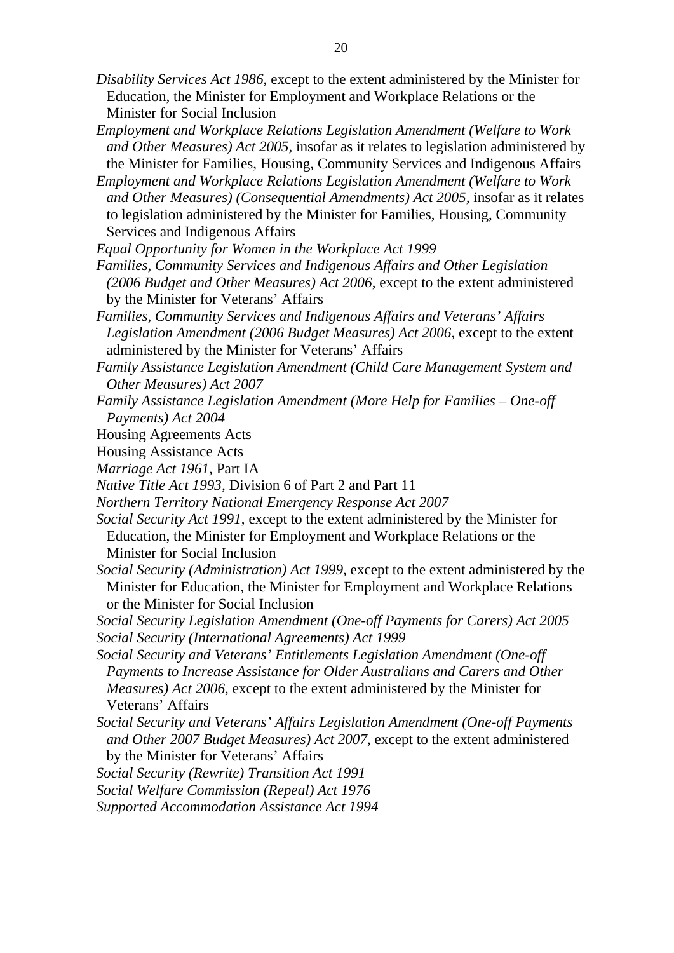- *Disability Services Act 1986*, except to the extent administered by the Minister for Education, the Minister for Employment and Workplace Relations or the Minister for Social Inclusion
- *Employment and Workplace Relations Legislation Amendment (Welfare to Work and Other Measures) Act 2005,* insofar as it relates to legislation administered by the Minister for Families, Housing, Community Services and Indigenous Affairs
- *Employment and Workplace Relations Legislation Amendment (Welfare to Work and Other Measures) (Consequential Amendments) Act 2005, insofar as it relates* to legislation administered by the Minister for Families, Housing, Community Services and Indigenous Affairs
- *Equal Opportunity for Women in the Workplace Act 1999*
- *Families, Community Services and Indigenous Affairs and Other Legislation (2006 Budget and Other Measures) Act 2006*, except to the extent administered by the Minister for Veterans' Affairs
- *Families, Community Services and Indigenous Affairs and Veterans' Affairs Legislation Amendment (2006 Budget Measures) Act 2006*, except to the extent administered by the Minister for Veterans' Affairs
- *Family Assistance Legislation Amendment (Child Care Management System and Other Measures) Act 2007*
- *Family Assistance Legislation Amendment (More Help for Families One-off Payments) Act 2004*
- Housing Agreements Acts
- Housing Assistance Acts
- *Marriage Act 1961,* Part IA
- *Native Title Act 1993,* Division 6 of Part 2 and Part 11
- *Northern Territory National Emergency Response Act 2007*
- *Social Security Act 1991*, except to the extent administered by the Minister for Education, the Minister for Employment and Workplace Relations or the Minister for Social Inclusion
- *Social Security (Administration) Act 1999*, except to the extent administered by the Minister for Education, the Minister for Employment and Workplace Relations or the Minister for Social Inclusion
- *Social Security Legislation Amendment (One-off Payments for Carers) Act 2005 Social Security (International Agreements) Act 1999*
- *Social Security and Veterans' Entitlements Legislation Amendment (One-off Payments to Increase Assistance for Older Australians and Carers and Other Measures) Act 2006*, except to the extent administered by the Minister for Veterans' Affairs
- *Social Security and Veterans' Affairs Legislation Amendment (One-off Payments and Other 2007 Budget Measures) Act 2007*, except to the extent administered by the Minister for Veterans' Affairs
- *Social Security (Rewrite) Transition Act 1991*
- *Social Welfare Commission (Repeal) Act 1976*
- *Supported Accommodation Assistance Act 1994*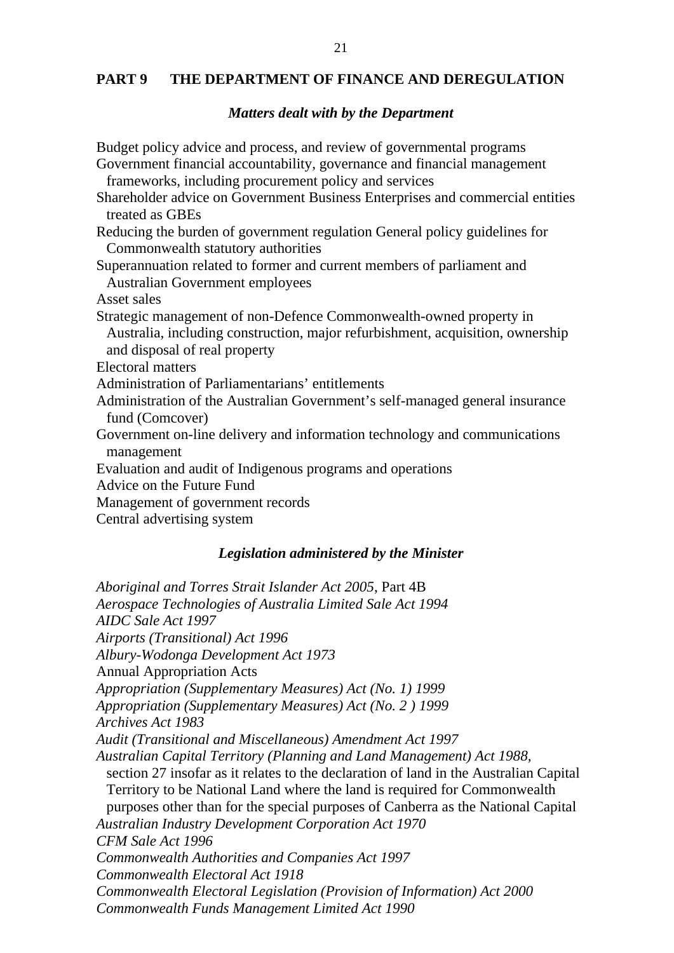## **PART 9 THE DEPARTMENT OF FINANCE AND DEREGULATION**

#### *Matters dealt with by the Department*

Budget policy advice and process, and review of governmental programs Government financial accountability, governance and financial management frameworks, including procurement policy and services Shareholder advice on Government Business Enterprises and commercial entities treated as GBEs Reducing the burden of government regulation General policy guidelines for Commonwealth statutory authorities Superannuation related to former and current members of parliament and Australian Government employees Asset sales Strategic management of non-Defence Commonwealth-owned property in Australia, including construction, major refurbishment, acquisition, ownership and disposal of real property Electoral matters Administration of Parliamentarians' entitlements Administration of the Australian Government's self-managed general insurance fund (Comcover) Government on-line delivery and information technology and communications management Evaluation and audit of Indigenous programs and operations Advice on the Future Fund Management of government records Central advertising system

## *Legislation administered by the Minister*

*Aboriginal and Torres Strait Islander Act 2005*, Part 4B *Aerospace Technologies of Australia Limited Sale Act 1994 AIDC Sale Act 1997 Airports (Transitional) Act 1996 Albury-Wodonga Development Act 1973* Annual Appropriation Acts *Appropriation (Supplementary Measures) Act (No. 1) 1999 Appropriation (Supplementary Measures) Act (No. 2 ) 1999 Archives Act 1983 Audit (Transitional and Miscellaneous) Amendment Act 1997 Australian Capital Territory (Planning and Land Management) Act 1988,*  section 27 insofar as it relates to the declaration of land in the Australian Capital Territory to be National Land where the land is required for Commonwealth purposes other than for the special purposes of Canberra as the National Capital *Australian Industry Development Corporation Act 1970 CFM Sale Act 1996 Commonwealth Authorities and Companies Act 1997 Commonwealth Electoral Act 1918 Commonwealth Electoral Legislation (Provision of Information) Act 2000 Commonwealth Funds Management Limited Act 1990*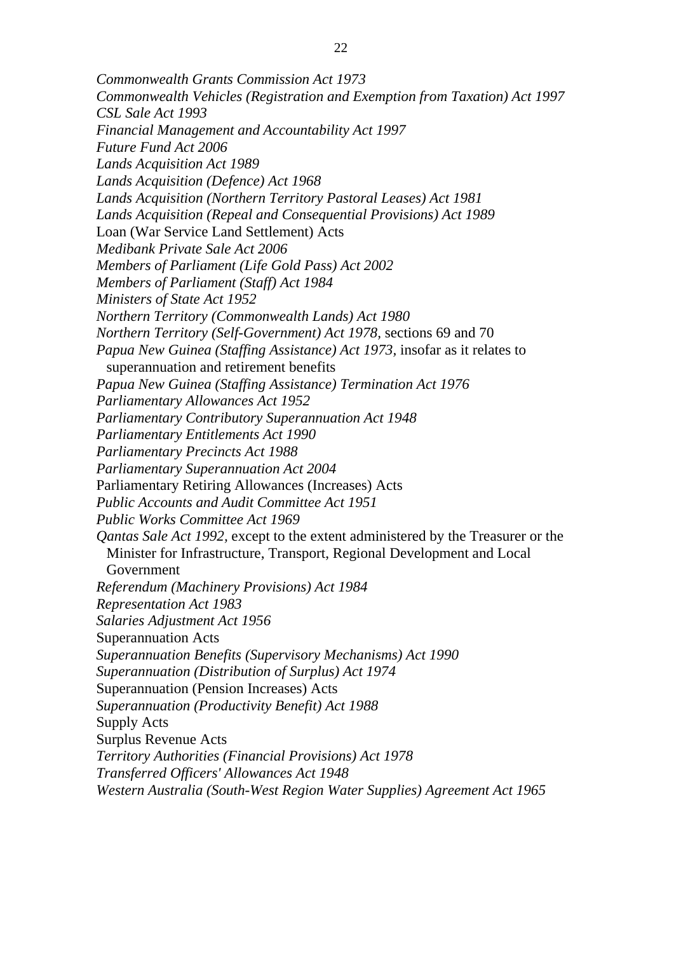*Commonwealth Grants Commission Act 1973 Commonwealth Vehicles (Registration and Exemption from Taxation) Act 1997 CSL Sale Act 1993 Financial Management and Accountability Act 1997 Future Fund Act 2006 Lands Acquisition Act 1989 Lands Acquisition (Defence) Act 1968 Lands Acquisition (Northern Territory Pastoral Leases) Act 1981 Lands Acquisition (Repeal and Consequential Provisions) Act 1989*  Loan (War Service Land Settlement) Acts *Medibank Private Sale Act 2006 Members of Parliament (Life Gold Pass) Act 2002 Members of Parliament (Staff) Act 1984 Ministers of State Act 1952 Northern Territory (Commonwealth Lands) Act 1980 Northern Territory (Self-Government) Act 1978,* sections 69 and 70 *Papua New Guinea (Staffing Assistance) Act 1973, insofar as it relates to* superannuation and retirement benefits *Papua New Guinea (Staffing Assistance) Termination Act 1976 Parliamentary Allowances Act 1952 Parliamentary Contributory Superannuation Act 1948 Parliamentary Entitlements Act 1990 Parliamentary Precincts Act 1988 Parliamentary Superannuation Act 2004*  Parliamentary Retiring Allowances (Increases) Acts *Public Accounts and Audit Committee Act 1951 Public Works Committee Act 1969 Qantas Sale Act 1992,* except to the extent administered by the Treasurer or the Minister for Infrastructure, Transport, Regional Development and Local Government *Referendum (Machinery Provisions) Act 1984 Representation Act 1983 Salaries Adjustment Act 1956*  Superannuation Acts *Superannuation Benefits (Supervisory Mechanisms) Act 1990 Superannuation (Distribution of Surplus) Act 1974*  Superannuation (Pension Increases) Acts *Superannuation (Productivity Benefit) Act 1988* Supply Acts Surplus Revenue Acts *Territory Authorities (Financial Provisions) Act 1978 Transferred Officers' Allowances Act 1948 Western Australia (South-West Region Water Supplies) Agreement Act 1965*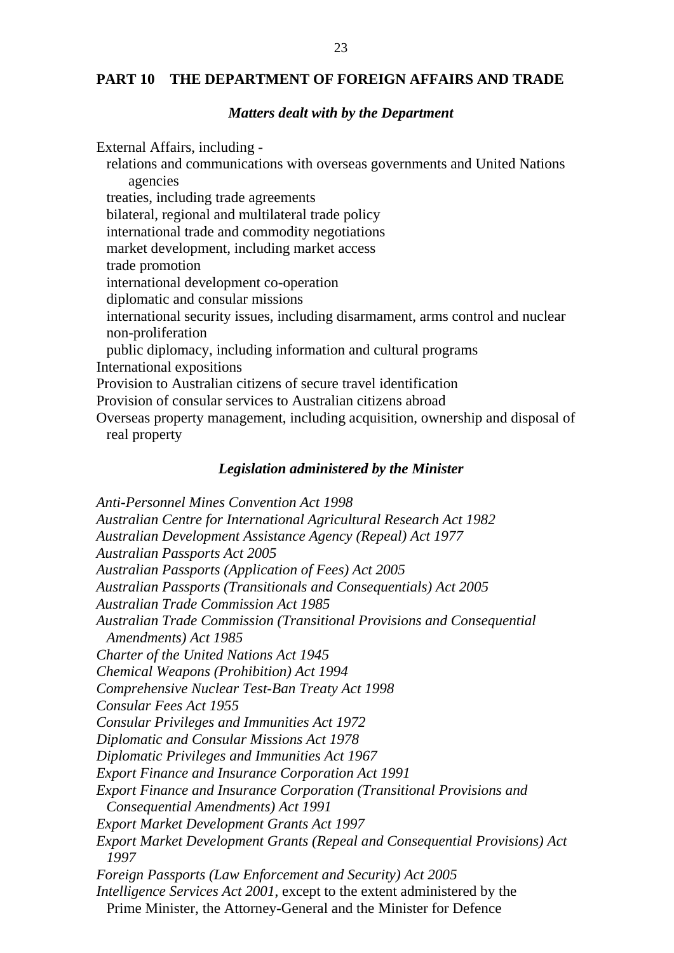## **PART 10 THE DEPARTMENT OF FOREIGN AFFAIRS AND TRADE**

#### *Matters dealt with by the Department*

External Affairs, including relations and communications with overseas governments and United Nations agencies treaties, including trade agreements bilateral, regional and multilateral trade policy international trade and commodity negotiations market development, including market access trade promotion international development co-operation diplomatic and consular missions international security issues, including disarmament, arms control and nuclear non-proliferation public diplomacy, including information and cultural programs International expositions Provision to Australian citizens of secure travel identification Provision of consular services to Australian citizens abroad Overseas property management, including acquisition, ownership and disposal of real property

## *Legislation administered by the Minister*

*Anti-Personnel Mines Convention Act 1998 Australian Centre for International Agricultural Research Act 1982 Australian Development Assistance Agency (Repeal) Act 1977 Australian Passports Act 2005 Australian Passports (Application of Fees) Act 2005 Australian Passports (Transitionals and Consequentials) Act 2005 Australian Trade Commission Act 1985 Australian Trade Commission (Transitional Provisions and Consequential Amendments) Act 1985 Charter of the United Nations Act 1945 Chemical Weapons (Prohibition) Act 1994 Comprehensive Nuclear Test-Ban Treaty Act 1998 Consular Fees Act 1955 Consular Privileges and Immunities Act 1972 Diplomatic and Consular Missions Act 1978 Diplomatic Privileges and Immunities Act 1967 Export Finance and Insurance Corporation Act 1991 Export Finance and Insurance Corporation (Transitional Provisions and Consequential Amendments) Act 1991 Export Market Development Grants Act 1997 Export Market Development Grants (Repeal and Consequential Provisions) Act 1997 Foreign Passports (Law Enforcement and Security) Act 2005 Intelligence Services Act 2001*, except to the extent administered by the Prime Minister, the Attorney-General and the Minister for Defence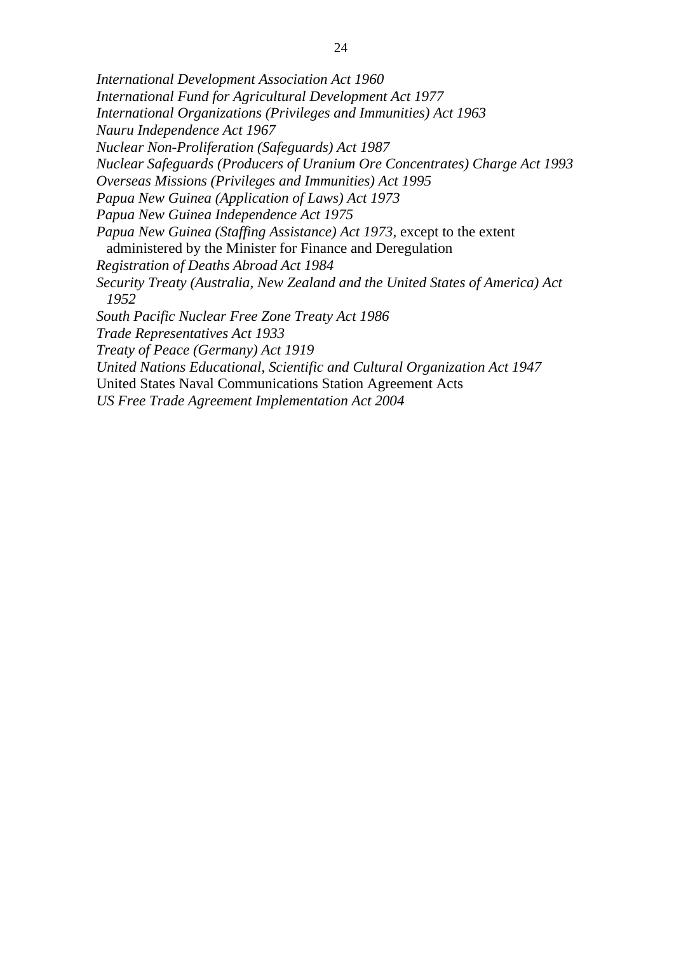*International Development Association Act 1960 International Fund for Agricultural Development Act 1977 International Organizations (Privileges and Immunities) Act 1963 Nauru Independence Act 1967 Nuclear Non-Proliferation (Safeguards) Act 1987 Nuclear Safeguards (Producers of Uranium Ore Concentrates) Charge Act 1993 Overseas Missions (Privileges and Immunities) Act 1995 Papua New Guinea (Application of Laws) Act 1973 Papua New Guinea Independence Act 1975 Papua New Guinea (Staffing Assistance) Act 1973, except to the extent* administered by the Minister for Finance and Deregulation *Registration of Deaths Abroad Act 1984 Security Treaty (Australia, New Zealand and the United States of America) Act 1952 South Pacific Nuclear Free Zone Treaty Act 1986 Trade Representatives Act 1933 Treaty of Peace (Germany) Act 1919 United Nations Educational, Scientific and Cultural Organization Act 1947*  United States Naval Communications Station Agreement Acts *US Free Trade Agreement Implementation Act 2004*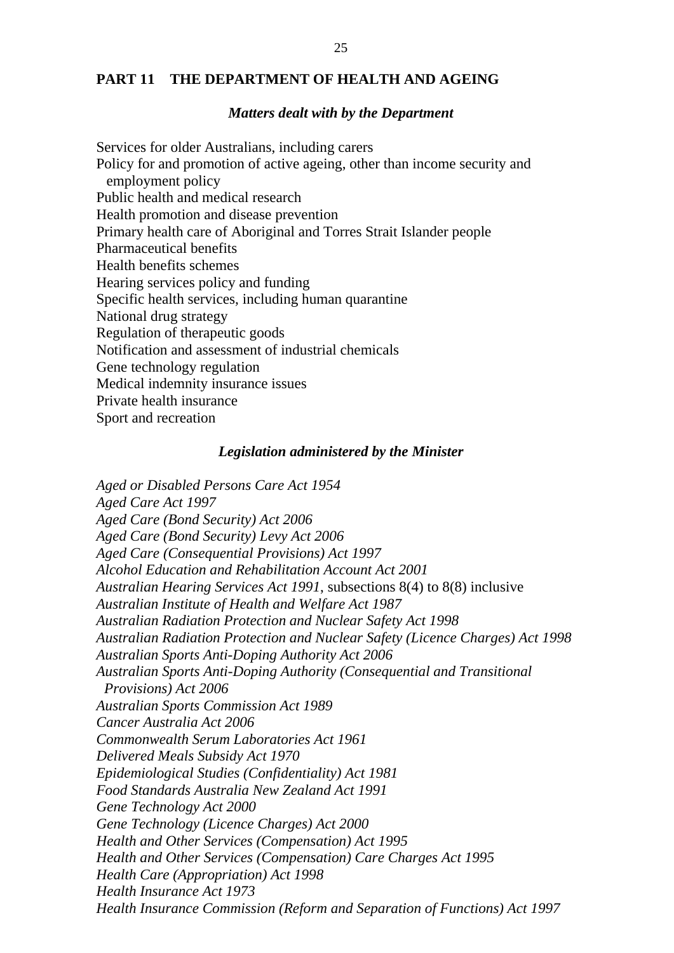## **PART 11 THE DEPARTMENT OF HEALTH AND AGEING**

#### *Matters dealt with by the Department*

Services for older Australians, including carers Policy for and promotion of active ageing, other than income security and employment policy Public health and medical research Health promotion and disease prevention Primary health care of Aboriginal and Torres Strait Islander people Pharmaceutical benefits Health benefits schemes Hearing services policy and funding Specific health services, including human quarantine National drug strategy Regulation of therapeutic goods Notification and assessment of industrial chemicals Gene technology regulation Medical indemnity insurance issues Private health insurance Sport and recreation

## *Legislation administered by the Minister*

*Aged or Disabled Persons Care Act 1954 Aged Care Act 1997 Aged Care (Bond Security) Act 2006 Aged Care (Bond Security) Levy Act 2006 Aged Care (Consequential Provisions) Act 1997 Alcohol Education and Rehabilitation Account Act 2001 Australian Hearing Services Act 1991*, subsections 8(4) to 8(8) inclusive *Australian Institute of Health and Welfare Act 1987 Australian Radiation Protection and Nuclear Safety Act 1998 Australian Radiation Protection and Nuclear Safety (Licence Charges) Act 1998 Australian Sports Anti-Doping Authority Act 2006 Australian Sports Anti-Doping Authority (Consequential and Transitional Provisions) Act 2006 Australian Sports Commission Act 1989 Cancer Australia Act 2006 Commonwealth Serum Laboratories Act 1961 Delivered Meals Subsidy Act 1970 Epidemiological Studies (Confidentiality) Act 1981 Food Standards Australia New Zealand Act 1991 Gene Technology Act 2000 Gene Technology (Licence Charges) Act 2000 Health and Other Services (Compensation) Act 1995 Health and Other Services (Compensation) Care Charges Act 1995 Health Care (Appropriation) Act 1998 Health Insurance Act 1973 Health Insurance Commission (Reform and Separation of Functions) Act 1997*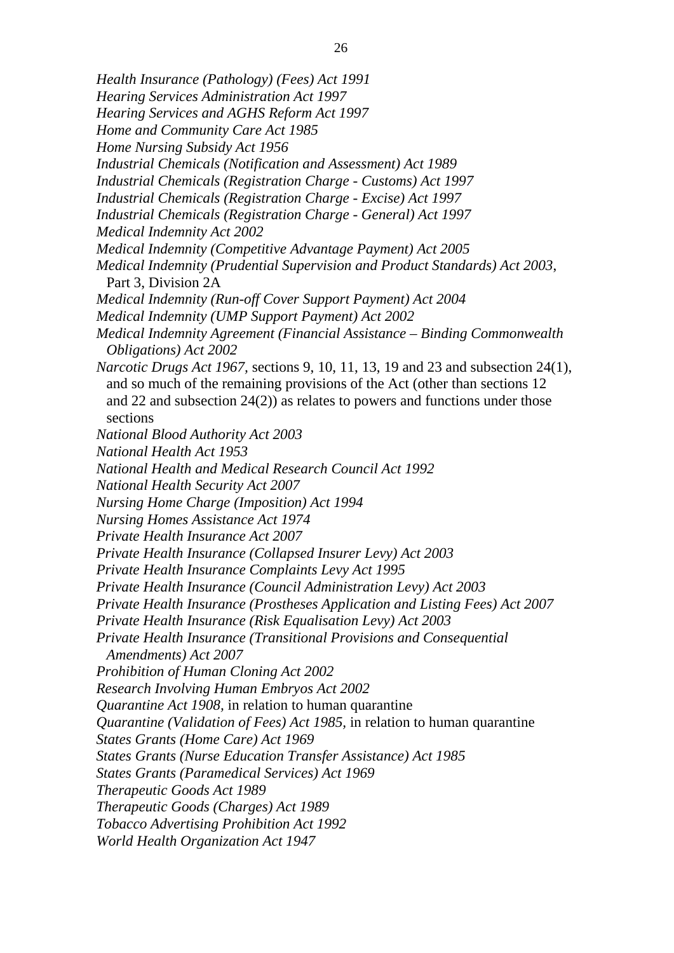- 26 *Health Insurance (Pathology) (Fees) Act 1991 Hearing Services Administration Act 1997 Hearing Services and AGHS Reform Act 1997 Home and Community Care Act 1985 Home Nursing Subsidy Act 1956 Industrial Chemicals (Notification and Assessment) Act 1989 Industrial Chemicals (Registration Charge - Customs) Act 1997 Industrial Chemicals (Registration Charge - Excise) Act 1997 Industrial Chemicals (Registration Charge - General) Act 1997 Medical Indemnity Act 2002 Medical Indemnity (Competitive Advantage Payment) Act 2005 Medical Indemnity (Prudential Supervision and Product Standards) Act 2003*, Part 3, Division 2A *Medical Indemnity (Run-off Cover Support Payment) Act 2004 Medical Indemnity (UMP Support Payment) Act 2002 Medical Indemnity Agreement (Financial Assistance – Binding Commonwealth Obligations) Act 2002 Narcotic Drugs Act 1967,* sections 9, 10, 11, 13, 19 and 23 and subsection 24(1), and so much of the remaining provisions of the Act (other than sections 12 and 22 and subsection 24(2)) as relates to powers and functions under those sections *National Blood Authority Act 2003 National Health Act 1953 National Health and Medical Research Council Act 1992*
- *National Health Security Act 2007*
- *Nursing Home Charge (Imposition) Act 1994*
- *Nursing Homes Assistance Act 1974*
- *Private Health Insurance Act 2007*
- *Private Health Insurance (Collapsed Insurer Levy) Act 2003*
- *Private Health Insurance Complaints Levy Act 1995*
- *Private Health Insurance (Council Administration Levy) Act 2003*
- *Private Health Insurance (Prostheses Application and Listing Fees) Act 2007*
- *Private Health Insurance (Risk Equalisation Levy) Act 2003*
- *Private Health Insurance (Transitional Provisions and Consequential Amendments) Act 2007*
- *Prohibition of Human Cloning Act 2002*
- *Research Involving Human Embryos Act 2002*
- *Quarantine Act 1908,* in relation to human quarantine
- *Quarantine (Validation of Fees) Act 1985,* in relation to human quarantine
- *States Grants (Home Care) Act 1969*
- *States Grants (Nurse Education Transfer Assistance) Act 1985*
- *States Grants (Paramedical Services) Act 1969*
- *Therapeutic Goods Act 1989*
- *Therapeutic Goods (Charges) Act 1989*
- *Tobacco Advertising Prohibition Act 1992*
- *World Health Organization Act 1947*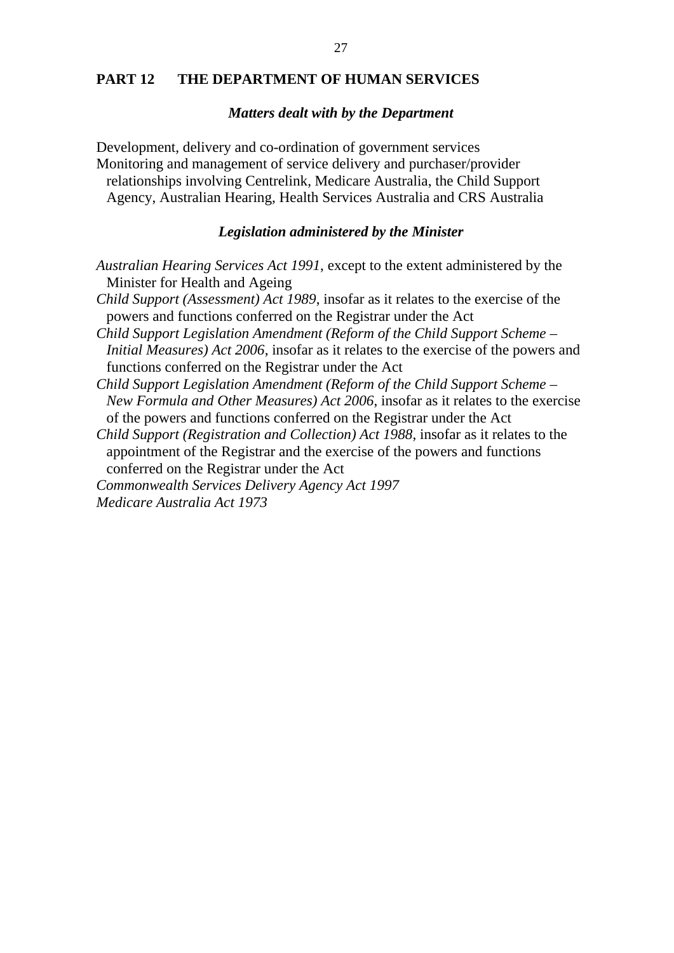## **PART 12 THE DEPARTMENT OF HUMAN SERVICES**

#### *Matters dealt with by the Department*

Development, delivery and co-ordination of government services Monitoring and management of service delivery and purchaser/provider relationships involving Centrelink, Medicare Australia, the Child Support Agency, Australian Hearing, Health Services Australia and CRS Australia

## *Legislation administered by the Minister*

- *Australian Hearing Services Act 1991*, except to the extent administered by the Minister for Health and Ageing
- *Child Support (Assessment) Act 1989*, insofar as it relates to the exercise of the powers and functions conferred on the Registrar under the Act
- *Child Support Legislation Amendment (Reform of the Child Support Scheme Initial Measures) Act 2006*, insofar as it relates to the exercise of the powers and functions conferred on the Registrar under the Act
- *Child Support Legislation Amendment (Reform of the Child Support Scheme New Formula and Other Measures) Act 2006*, insofar as it relates to the exercise of the powers and functions conferred on the Registrar under the Act

*Child Support (Registration and Collection) Act 1988*, insofar as it relates to the appointment of the Registrar and the exercise of the powers and functions conferred on the Registrar under the Act

*Commonwealth Services Delivery Agency Act 1997 Medicare Australia Act 1973*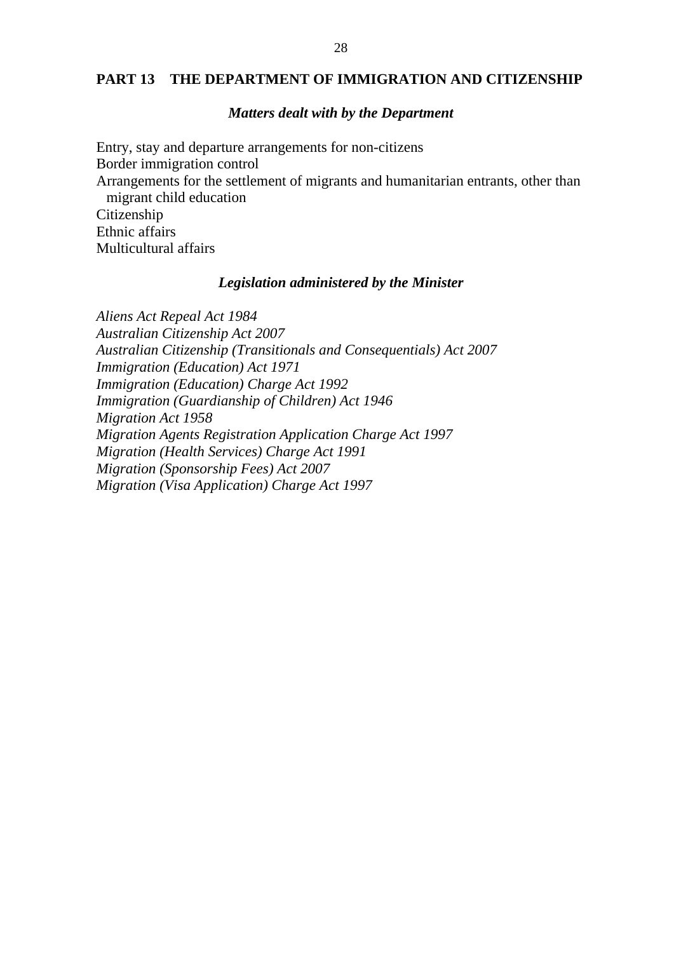### **PART 13 THE DEPARTMENT OF IMMIGRATION AND CITIZENSHIP**

#### *Matters dealt with by the Department*

Entry, stay and departure arrangements for non-citizens Border immigration control Arrangements for the settlement of migrants and humanitarian entrants, other than migrant child education Citizenship Ethnic affairs Multicultural affairs

### *Legislation administered by the Minister*

*Aliens Act Repeal Act 1984 Australian Citizenship Act 2007 Australian Citizenship (Transitionals and Consequentials) Act 2007 Immigration (Education) Act 1971 Immigration (Education) Charge Act 1992 Immigration (Guardianship of Children) Act 1946 Migration Act 1958 Migration Agents Registration Application Charge Act 1997 Migration (Health Services) Charge Act 1991 Migration (Sponsorship Fees) Act 2007 Migration (Visa Application) Charge Act 1997*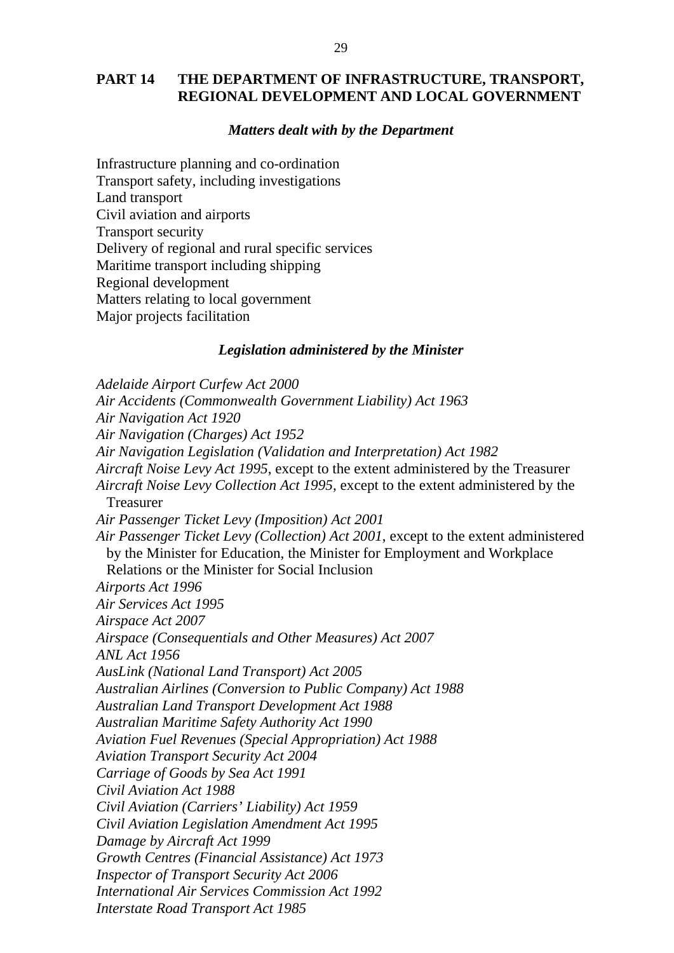## **PART 14 THE DEPARTMENT OF INFRASTRUCTURE, TRANSPORT, REGIONAL DEVELOPMENT AND LOCAL GOVERNMENT**

## *Matters dealt with by the Department*

Infrastructure planning and co-ordination Transport safety, including investigations Land transport Civil aviation and airports Transport security Delivery of regional and rural specific services Maritime transport including shipping Regional development Matters relating to local government Major projects facilitation

#### *Legislation administered by the Minister*

*Adelaide Airport Curfew Act 2000 Air Accidents (Commonwealth Government Liability) Act 1963 Air Navigation Act 1920 Air Navigation (Charges) Act 1952 Air Navigation Legislation (Validation and Interpretation) Act 1982 Aircraft Noise Levy Act 1995*, except to the extent administered by the Treasurer *Aircraft Noise Levy Collection Act 1995*, except to the extent administered by the Treasurer *Air Passenger Ticket Levy (Imposition) Act 2001 Air Passenger Ticket Levy (Collection) Act 2001*, except to the extent administered by the Minister for Education, the Minister for Employment and Workplace Relations or the Minister for Social Inclusion *Airports Act 1996 Air Services Act 1995 Airspace Act 2007 Airspace (Consequentials and Other Measures) Act 2007 ANL Act 1956 AusLink (National Land Transport) Act 2005 Australian Airlines (Conversion to Public Company) Act 1988 Australian Land Transport Development Act 1988 Australian Maritime Safety Authority Act 1990 Aviation Fuel Revenues (Special Appropriation) Act 1988 Aviation Transport Security Act 2004 Carriage of Goods by Sea Act 1991 Civil Aviation Act 1988 Civil Aviation (Carriers' Liability) Act 1959 Civil Aviation Legislation Amendment Act 1995 Damage by Aircraft Act 1999 Growth Centres (Financial Assistance) Act 1973 Inspector of Transport Security Act 2006 International Air Services Commission Act 1992 Interstate Road Transport Act 1985*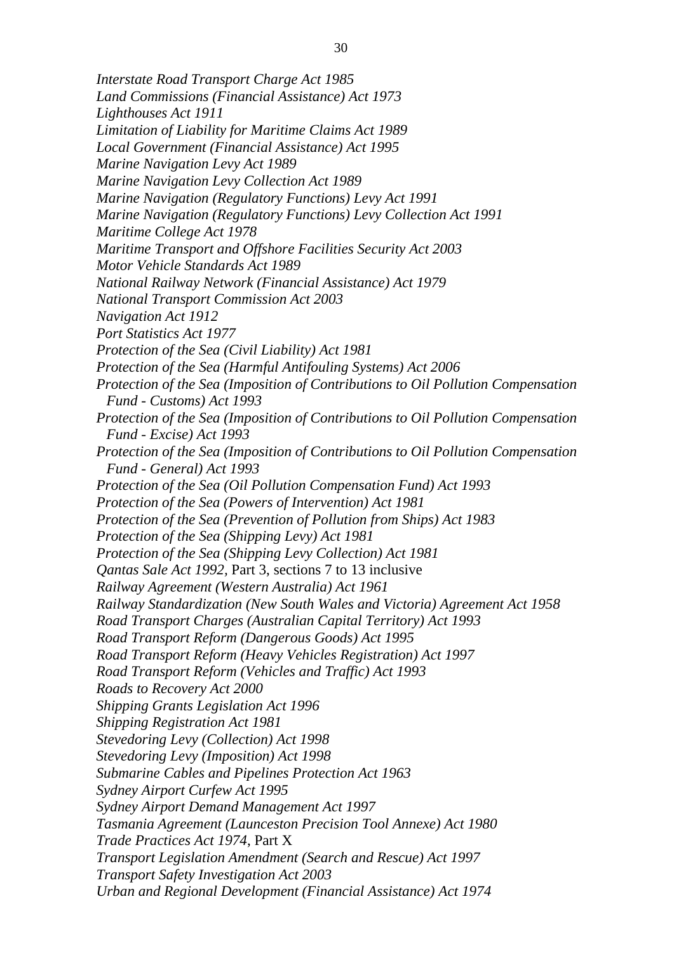*Interstate Road Transport Charge Act 1985 Land Commissions (Financial Assistance) Act 1973 Lighthouses Act 1911 Limitation of Liability for Maritime Claims Act 1989 Local Government (Financial Assistance) Act 1995 Marine Navigation Levy Act 1989 Marine Navigation Levy Collection Act 1989 Marine Navigation (Regulatory Functions) Levy Act 1991 Marine Navigation (Regulatory Functions) Levy Collection Act 1991 Maritime College Act 1978 Maritime Transport and Offshore Facilities Security Act 2003 Motor Vehicle Standards Act 1989 National Railway Network (Financial Assistance) Act 1979 National Transport Commission Act 2003 Navigation Act 1912 Port Statistics Act 1977 Protection of the Sea (Civil Liability) Act 1981 Protection of the Sea (Harmful Antifouling Systems) Act 2006 Protection of the Sea (Imposition of Contributions to Oil Pollution Compensation Fund - Customs) Act 1993 Protection of the Sea (Imposition of Contributions to Oil Pollution Compensation Fund - Excise) Act 1993 Protection of the Sea (Imposition of Contributions to Oil Pollution Compensation Fund - General) Act 1993 Protection of the Sea (Oil Pollution Compensation Fund) Act 1993 Protection of the Sea (Powers of Intervention) Act 1981 Protection of the Sea (Prevention of Pollution from Ships) Act 1983 Protection of the Sea (Shipping Levy) Act 1981 Protection of the Sea (Shipping Levy Collection) Act 1981 Qantas Sale Act 1992,* Part 3, sections 7 to 13 inclusive *Railway Agreement (Western Australia) Act 1961 Railway Standardization (New South Wales and Victoria) Agreement Act 1958 Road Transport Charges (Australian Capital Territory) Act 1993 Road Transport Reform (Dangerous Goods) Act 1995 Road Transport Reform (Heavy Vehicles Registration) Act 1997 Road Transport Reform (Vehicles and Traffic) Act 1993 Roads to Recovery Act 2000 Shipping Grants Legislation Act 1996 Shipping Registration Act 1981 Stevedoring Levy (Collection) Act 1998 Stevedoring Levy (Imposition) Act 1998 Submarine Cables and Pipelines Protection Act 1963 Sydney Airport Curfew Act 1995 Sydney Airport Demand Management Act 1997 Tasmania Agreement (Launceston Precision Tool Annexe) Act 1980 Trade Practices Act 1974*, Part X *Transport Legislation Amendment (Search and Rescue) Act 1997 Transport Safety Investigation Act 2003 Urban and Regional Development (Financial Assistance) Act 1974*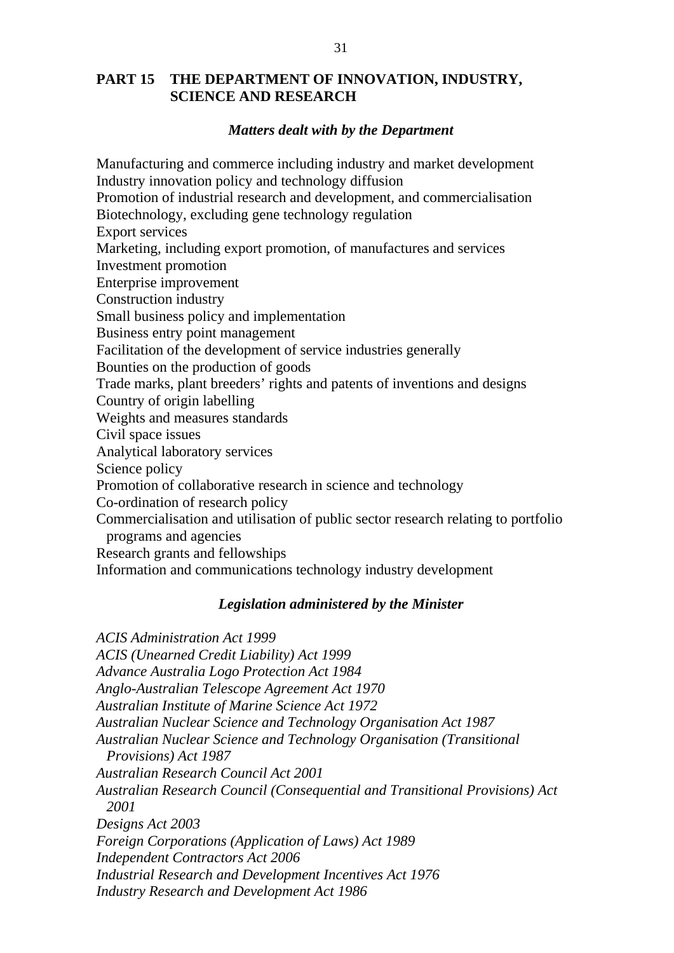# **PART 15 THE DEPARTMENT OF INNOVATION, INDUSTRY, SCIENCE AND RESEARCH**

## *Matters dealt with by the Department*

Manufacturing and commerce including industry and market development Industry innovation policy and technology diffusion Promotion of industrial research and development, and commercialisation Biotechnology, excluding gene technology regulation Export services Marketing, including export promotion, of manufactures and services Investment promotion Enterprise improvement Construction industry Small business policy and implementation Business entry point management Facilitation of the development of service industries generally Bounties on the production of goods Trade marks, plant breeders' rights and patents of inventions and designs Country of origin labelling Weights and measures standards Civil space issues Analytical laboratory services Science policy Promotion of collaborative research in science and technology Co-ordination of research policy Commercialisation and utilisation of public sector research relating to portfolio programs and agencies Research grants and fellowships Information and communications technology industry development *Legislation administered by the Minister ACIS Administration Act 1999 ACIS (Unearned Credit Liability) Act 1999 Advance Australia Logo Protection Act 1984 Anglo-Australian Telescope Agreement Act 1970 Australian Institute of Marine Science Act 1972 Australian Nuclear Science and Technology Organisation Act 1987 Australian Nuclear Science and Technology Organisation (Transitional Provisions) Act 1987 Australian Research Council Act 2001 Australian Research Council (Consequential and Transitional Provisions) Act 2001 Designs Act 2003* 

*Foreign Corporations (Application of Laws) Act 1989* 

*Independent Contractors Act 2006* 

*Industrial Research and Development Incentives Act 1976* 

*Industry Research and Development Act 1986*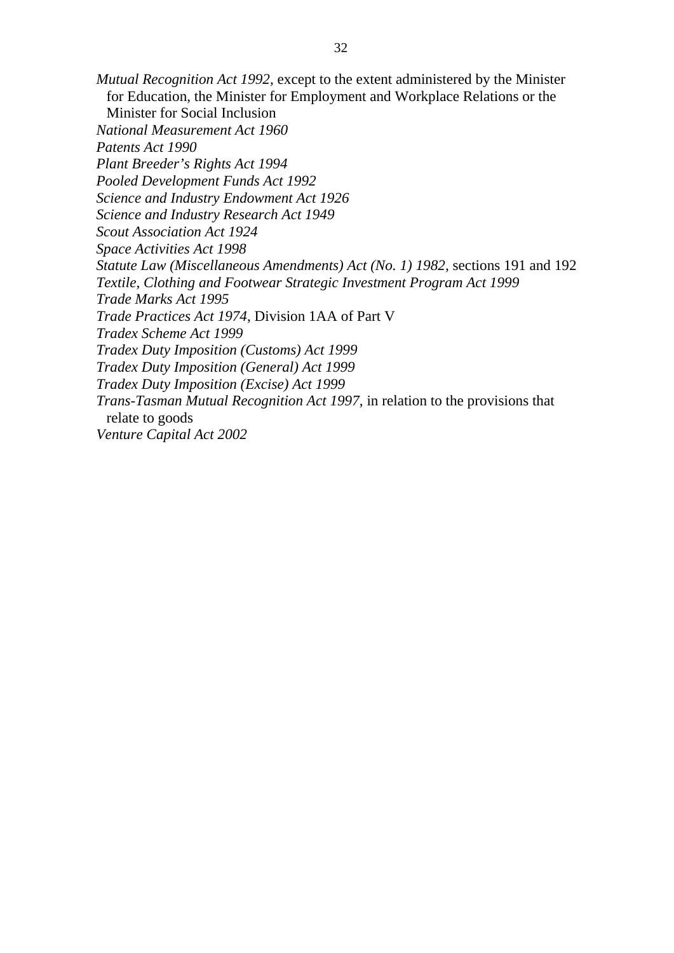*Mutual Recognition Act 1992,* except to the extent administered by the Minister for Education, the Minister for Employment and Workplace Relations or the Minister for Social Inclusion *National Measurement Act 1960 Patents Act 1990 Plant Breeder's Rights Act 1994 Pooled Development Funds Act 1992 Science and Industry Endowment Act 1926 Science and Industry Research Act 1949 Scout Association Act 1924 Space Activities Act 1998 Statute Law (Miscellaneous Amendments) Act (No. 1) 1982,* sections 191 and 192 *Textile, Clothing and Footwear Strategic Investment Program Act 1999 Trade Marks Act 1995 Trade Practices Act 1974*, Division 1AA of Part V *Tradex Scheme Act 1999 Tradex Duty Imposition (Customs) Act 1999 Tradex Duty Imposition (General) Act 1999 Tradex Duty Imposition (Excise) Act 1999 Trans-Tasman Mutual Recognition Act 1997*, in relation to the provisions that relate to goods *Venture Capital Act 2002*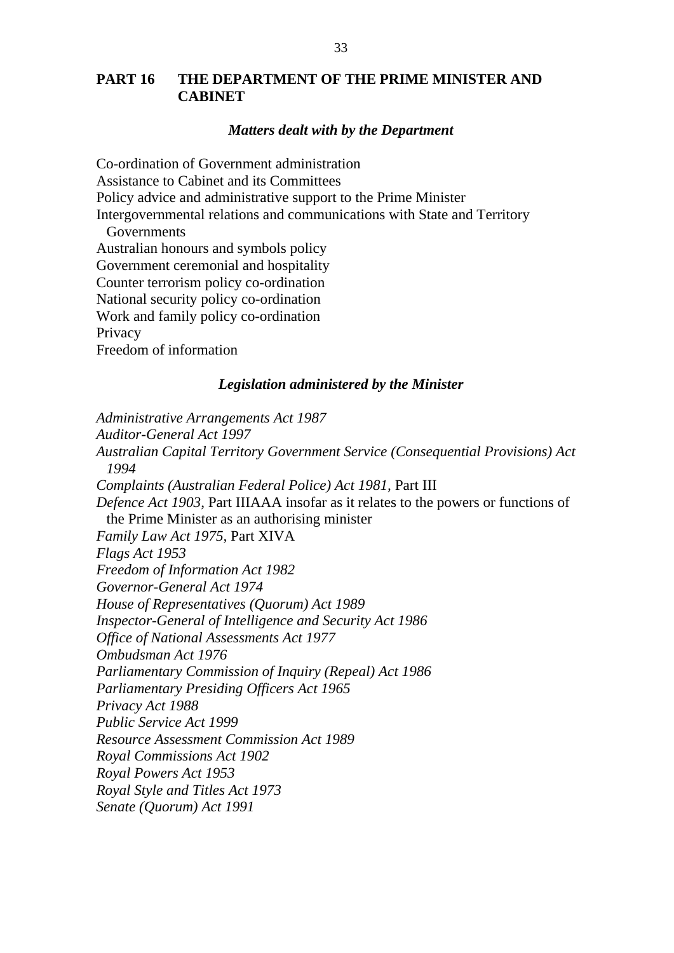# **PART 16 THE DEPARTMENT OF THE PRIME MINISTER AND CABINET**

## *Matters dealt with by the Department*

Co-ordination of Government administration Assistance to Cabinet and its Committees Policy advice and administrative support to the Prime Minister Intergovernmental relations and communications with State and Territory **Governments** Australian honours and symbols policy Government ceremonial and hospitality Counter terrorism policy co-ordination National security policy co-ordination Work and family policy co-ordination **Privacy** Freedom of information

## *Legislation administered by the Minister*

*Administrative Arrangements Act 1987 Auditor-General Act 1997 Australian Capital Territory Government Service (Consequential Provisions) Act 1994 Complaints (Australian Federal Police) Act 1981,* Part III *Defence Act 1903*, Part IIIAAA insofar as it relates to the powers or functions of the Prime Minister as an authorising minister *Family Law Act 1975,* Part XIVA *Flags Act 1953 Freedom of Information Act 1982 Governor-General Act 1974 House of Representatives (Quorum) Act 1989 Inspector-General of Intelligence and Security Act 1986 Office of National Assessments Act 1977 Ombudsman Act 1976 Parliamentary Commission of Inquiry (Repeal) Act 1986 Parliamentary Presiding Officers Act 1965 Privacy Act 1988 Public Service Act 1999 Resource Assessment Commission Act 1989 Royal Commissions Act 1902 Royal Powers Act 1953 Royal Style and Titles Act 1973 Senate (Quorum) Act 1991*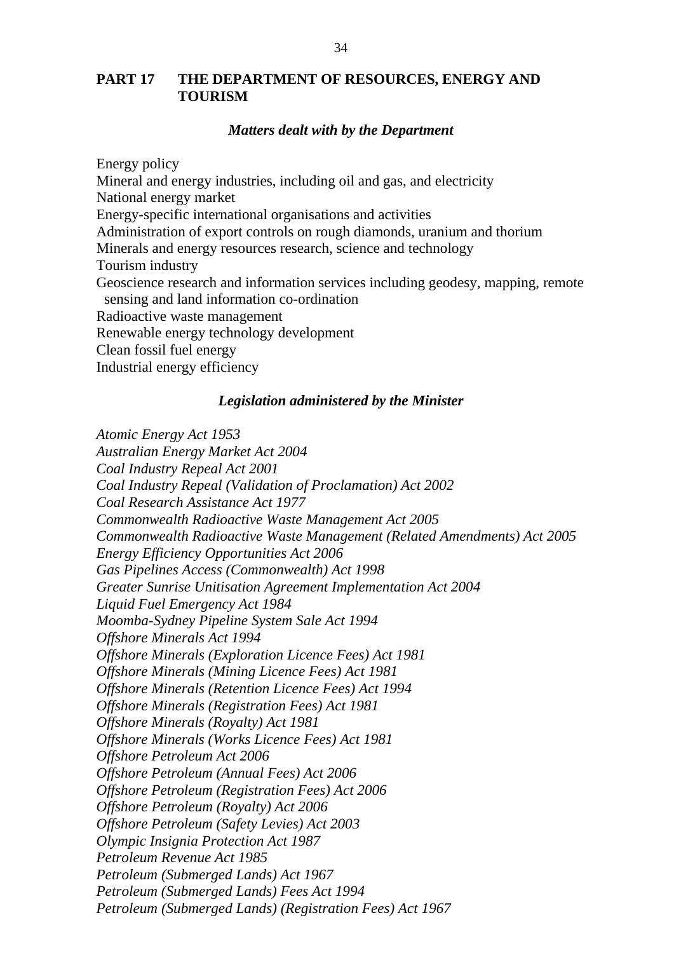# **PART 17 THE DEPARTMENT OF RESOURCES, ENERGY AND TOURISM**

## *Matters dealt with by the Department*

Energy policy Mineral and energy industries, including oil and gas, and electricity National energy market Energy-specific international organisations and activities Administration of export controls on rough diamonds, uranium and thorium Minerals and energy resources research, science and technology Tourism industry Geoscience research and information services including geodesy, mapping, remote sensing and land information co-ordination Radioactive waste management Renewable energy technology development Clean fossil fuel energy Industrial energy efficiency

#### *Legislation administered by the Minister*

*Atomic Energy Act 1953 Australian Energy Market Act 2004 Coal Industry Repeal Act 2001 Coal Industry Repeal (Validation of Proclamation) Act 2002 Coal Research Assistance Act 1977 Commonwealth Radioactive Waste Management Act 2005 Commonwealth Radioactive Waste Management (Related Amendments) Act 2005 Energy Efficiency Opportunities Act 2006 Gas Pipelines Access (Commonwealth) Act 1998 Greater Sunrise Unitisation Agreement Implementation Act 2004 Liquid Fuel Emergency Act 1984 Moomba-Sydney Pipeline System Sale Act 1994 Offshore Minerals Act 1994 Offshore Minerals (Exploration Licence Fees) Act 1981 Offshore Minerals (Mining Licence Fees) Act 1981 Offshore Minerals (Retention Licence Fees) Act 1994 Offshore Minerals (Registration Fees) Act 1981 Offshore Minerals (Royalty) Act 1981 Offshore Minerals (Works Licence Fees) Act 1981 Offshore Petroleum Act 2006 Offshore Petroleum (Annual Fees) Act 2006 Offshore Petroleum (Registration Fees) Act 2006 Offshore Petroleum (Royalty) Act 2006 Offshore Petroleum (Safety Levies) Act 2003 Olympic Insignia Protection Act 1987 Petroleum Revenue Act 1985 Petroleum (Submerged Lands) Act 1967 Petroleum (Submerged Lands) Fees Act 1994 Petroleum (Submerged Lands) (Registration Fees) Act 1967*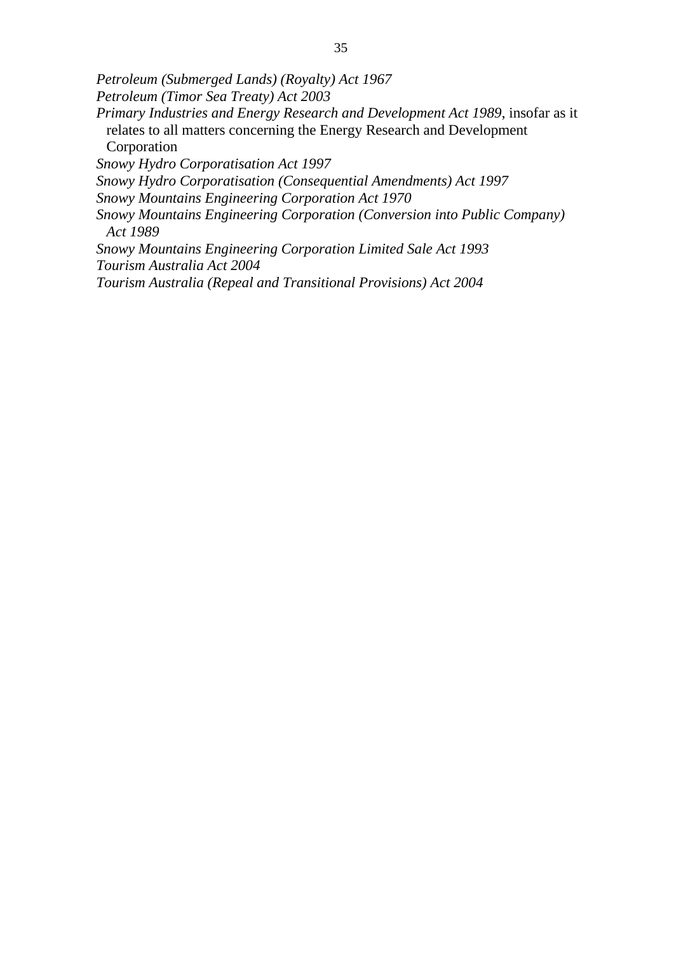*Petroleum (Submerged Lands) (Royalty) Act 1967 Petroleum (Timor Sea Treaty) Act 2003 Primary Industries and Energy Research and Development Act 1989*, insofar as it relates to all matters concerning the Energy Research and Development Corporation *Snowy Hydro Corporatisation Act 1997 Snowy Hydro Corporatisation (Consequential Amendments) Act 1997 Snowy Mountains Engineering Corporation Act 1970 Snowy Mountains Engineering Corporation (Conversion into Public Company) Act 1989 Snowy Mountains Engineering Corporation Limited Sale Act 1993* 

*Tourism Australia Act 2004* 

*Tourism Australia (Repeal and Transitional Provisions) Act 2004*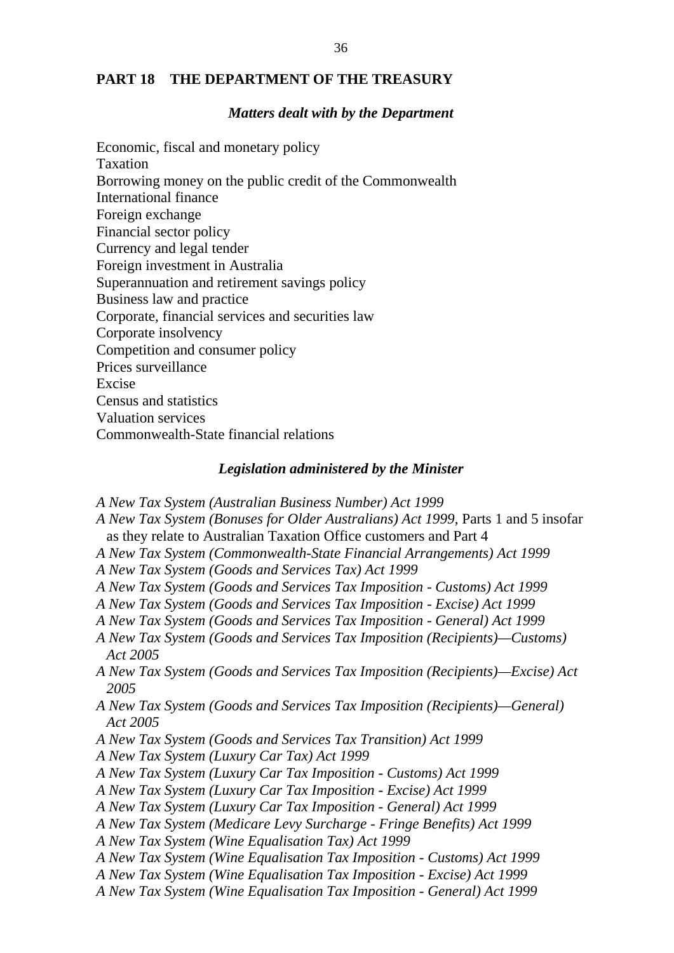## **PART 18 THE DEPARTMENT OF THE TREASURY**

### *Matters dealt with by the Department*

Economic, fiscal and monetary policy Taxation Borrowing money on the public credit of the Commonwealth International finance Foreign exchange Financial sector policy Currency and legal tender Foreign investment in Australia Superannuation and retirement savings policy Business law and practice Corporate, financial services and securities law Corporate insolvency Competition and consumer policy Prices surveillance Excise Census and statistics Valuation services Commonwealth-State financial relations

## *Legislation administered by the Minister*

- *A New Tax System (Australian Business Number) Act 1999*
- *A New Tax System (Bonuses for Older Australians) Act 1999*, Parts 1 and 5 insofar as they relate to Australian Taxation Office customers and Part 4
- *A New Tax System (Commonwealth-State Financial Arrangements) Act 1999*
- *A New Tax System (Goods and Services Tax) Act 1999*
- *A New Tax System (Goods and Services Tax Imposition Customs) Act 1999*
- *A New Tax System (Goods and Services Tax Imposition Excise) Act 1999*
- *A New Tax System (Goods and Services Tax Imposition General) Act 1999*
- *A New Tax System (Goods and Services Tax Imposition (Recipients)—Customs) Act 2005*
- *A New Tax System (Goods and Services Tax Imposition (Recipients)—Excise) Act 2005*
- *A New Tax System (Goods and Services Tax Imposition (Recipients)—General) Act 2005*
- *A New Tax System (Goods and Services Tax Transition) Act 1999*
- *A New Tax System (Luxury Car Tax) Act 1999*
- *A New Tax System (Luxury Car Tax Imposition Customs) Act 1999*
- *A New Tax System (Luxury Car Tax Imposition Excise) Act 1999*
- *A New Tax System (Luxury Car Tax Imposition General) Act 1999*
- *A New Tax System (Medicare Levy Surcharge Fringe Benefits) Act 1999*
- *A New Tax System (Wine Equalisation Tax) Act 1999*
- *A New Tax System (Wine Equalisation Tax Imposition Customs) Act 1999*
- *A New Tax System (Wine Equalisation Tax Imposition Excise) Act 1999*
- *A New Tax System (Wine Equalisation Tax Imposition General) Act 1999*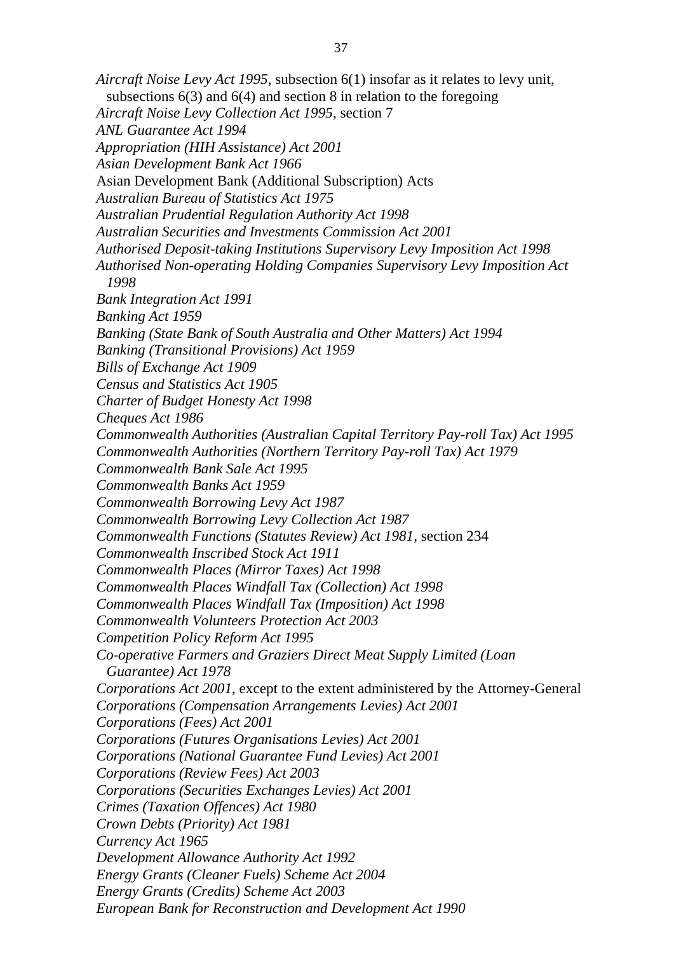*Aircraft Noise Levy Act 1995*, subsection 6(1) insofar as it relates to levy unit, subsections 6(3) and 6(4) and section 8 in relation to the foregoing *Aircraft Noise Levy Collection Act 1995*, section 7 *ANL Guarantee Act 1994 Appropriation (HIH Assistance) Act 2001 Asian Development Bank Act 1966*  Asian Development Bank (Additional Subscription) Acts *Australian Bureau of Statistics Act 1975 Australian Prudential Regulation Authority Act 1998 Australian Securities and Investments Commission Act 2001 Authorised Deposit-taking Institutions Supervisory Levy Imposition Act 1998 Authorised Non-operating Holding Companies Supervisory Levy Imposition Act 1998 Bank Integration Act 1991 Banking Act 1959 Banking (State Bank of South Australia and Other Matters) Act 1994 Banking (Transitional Provisions) Act 1959 Bills of Exchange Act 1909 Census and Statistics Act 1905 Charter of Budget Honesty Act 1998 Cheques Act 1986 Commonwealth Authorities (Australian Capital Territory Pay-roll Tax) Act 1995 Commonwealth Authorities (Northern Territory Pay-roll Tax) Act 1979 Commonwealth Bank Sale Act 1995 Commonwealth Banks Act 1959 Commonwealth Borrowing Levy Act 1987 Commonwealth Borrowing Levy Collection Act 1987 Commonwealth Functions (Statutes Review) Act 1981,* section 234 *Commonwealth Inscribed Stock Act 1911 Commonwealth Places (Mirror Taxes) Act 1998 Commonwealth Places Windfall Tax (Collection) Act 1998 Commonwealth Places Windfall Tax (Imposition) Act 1998 Commonwealth Volunteers Protection Act 2003 Competition Policy Reform Act 1995 Co-operative Farmers and Graziers Direct Meat Supply Limited (Loan Guarantee) Act 1978 Corporations Act 2001*, except to the extent administered by the Attorney-General *Corporations (Compensation Arrangements Levies) Act 2001 Corporations (Fees) Act 2001 Corporations (Futures Organisations Levies) Act 2001 Corporations (National Guarantee Fund Levies) Act 2001 Corporations (Review Fees) Act 2003 Corporations (Securities Exchanges Levies) Act 2001 Crimes (Taxation Offences) Act 1980 Crown Debts (Priority) Act 1981 Currency Act 1965 Development Allowance Authority Act 1992 Energy Grants (Cleaner Fuels) Scheme Act 2004 Energy Grants (Credits) Scheme Act 2003 European Bank for Reconstruction and Development Act 1990*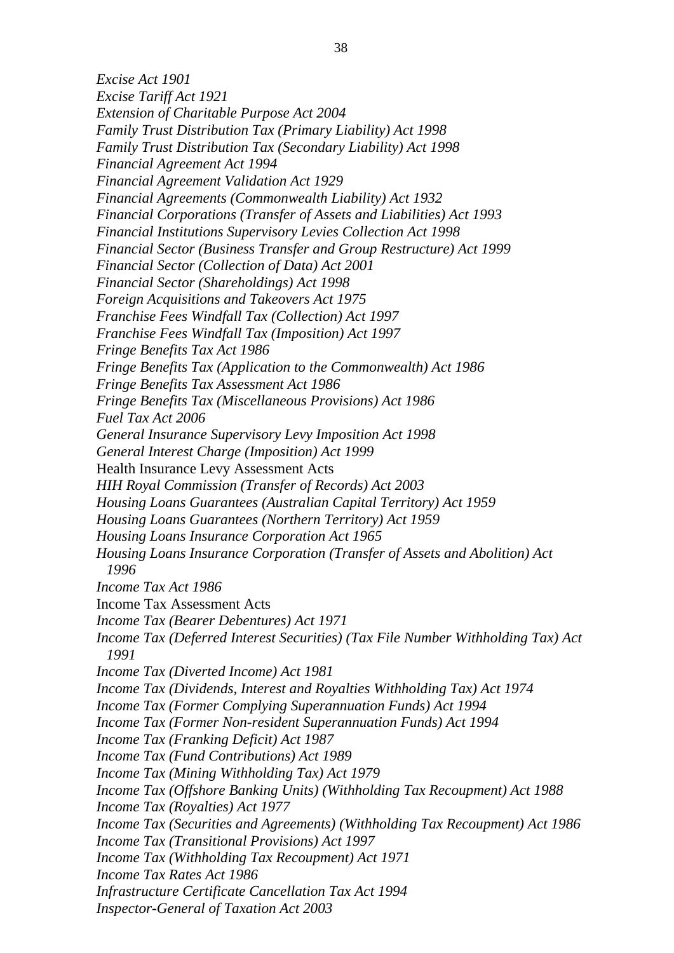*Excise Act 1901 Excise Tariff Act 1921 Extension of Charitable Purpose Act 2004 Family Trust Distribution Tax (Primary Liability) Act 1998 Family Trust Distribution Tax (Secondary Liability) Act 1998 Financial Agreement Act 1994 Financial Agreement Validation Act 1929 Financial Agreements (Commonwealth Liability) Act 1932 Financial Corporations (Transfer of Assets and Liabilities) Act 1993 Financial Institutions Supervisory Levies Collection Act 1998 Financial Sector (Business Transfer and Group Restructure) Act 1999 Financial Sector (Collection of Data) Act 2001 Financial Sector (Shareholdings) Act 1998 Foreign Acquisitions and Takeovers Act 1975 Franchise Fees Windfall Tax (Collection) Act 1997 Franchise Fees Windfall Tax (Imposition) Act 1997 Fringe Benefits Tax Act 1986 Fringe Benefits Tax (Application to the Commonwealth) Act 1986 Fringe Benefits Tax Assessment Act 1986 Fringe Benefits Tax (Miscellaneous Provisions) Act 1986 Fuel Tax Act 2006 General Insurance Supervisory Levy Imposition Act 1998 General Interest Charge (Imposition) Act 1999*  Health Insurance Levy Assessment Acts *HIH Royal Commission (Transfer of Records) Act 2003 Housing Loans Guarantees (Australian Capital Territory) Act 1959 Housing Loans Guarantees (Northern Territory) Act 1959 Housing Loans Insurance Corporation Act 1965 Housing Loans Insurance Corporation (Transfer of Assets and Abolition) Act 1996 Income Tax Act 1986*  Income Tax Assessment Acts *Income Tax (Bearer Debentures) Act 1971 Income Tax (Deferred Interest Securities) (Tax File Number Withholding Tax) Act 1991 Income Tax (Diverted Income) Act 1981 Income Tax (Dividends, Interest and Royalties Withholding Tax) Act 1974 Income Tax (Former Complying Superannuation Funds) Act 1994 Income Tax (Former Non-resident Superannuation Funds) Act 1994 Income Tax (Franking Deficit) Act 1987 Income Tax (Fund Contributions) Act 1989 Income Tax (Mining Withholding Tax) Act 1979 Income Tax (Offshore Banking Units) (Withholding Tax Recoupment) Act 1988 Income Tax (Royalties) Act 1977 Income Tax (Securities and Agreements) (Withholding Tax Recoupment) Act 1986 Income Tax (Transitional Provisions) Act 1997 Income Tax (Withholding Tax Recoupment) Act 1971 Income Tax Rates Act 1986 Infrastructure Certificate Cancellation Tax Act 1994 Inspector-General of Taxation Act 2003*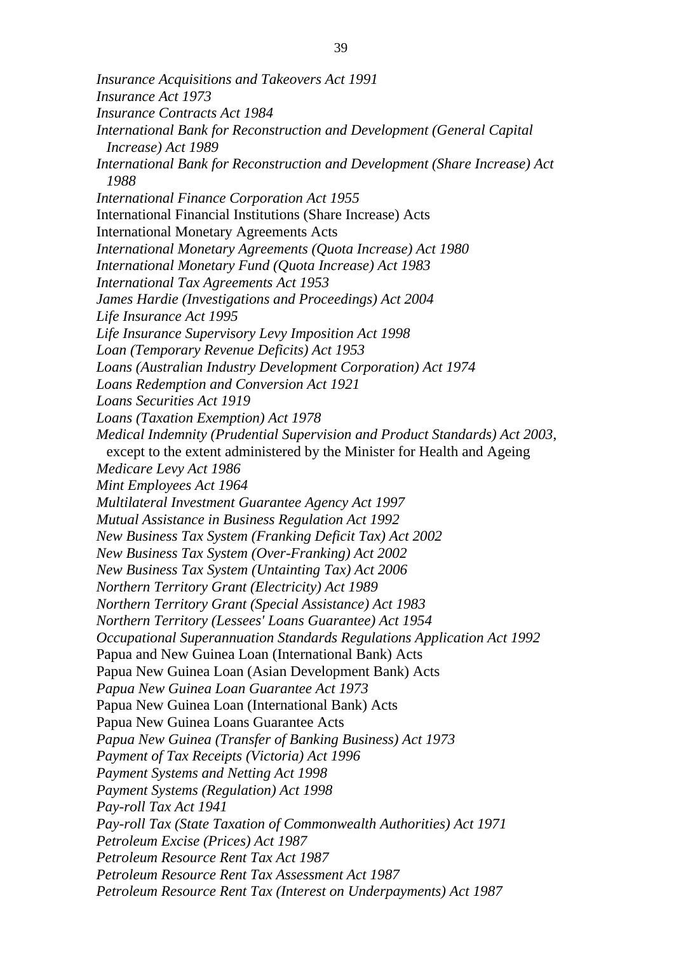*Insurance Acquisitions and Takeovers Act 1991 Insurance Act 1973 Insurance Contracts Act 1984 International Bank for Reconstruction and Development (General Capital Increase) Act 1989 International Bank for Reconstruction and Development (Share Increase) Act 1988 International Finance Corporation Act 1955*  International Financial Institutions (Share Increase) Acts International Monetary Agreements Acts *International Monetary Agreements (Quota Increase) Act 1980 International Monetary Fund (Quota Increase) Act 1983 International Tax Agreements Act 1953 James Hardie (Investigations and Proceedings) Act 2004 Life Insurance Act 1995 Life Insurance Supervisory Levy Imposition Act 1998 Loan (Temporary Revenue Deficits) Act 1953 Loans (Australian Industry Development Corporation) Act 1974 Loans Redemption and Conversion Act 1921 Loans Securities Act 1919 Loans (Taxation Exemption) Act 1978 Medical Indemnity (Prudential Supervision and Product Standards) Act 2003*, except to the extent administered by the Minister for Health and Ageing *Medicare Levy Act 1986 Mint Employees Act 1964 Multilateral Investment Guarantee Agency Act 1997 Mutual Assistance in Business Regulation Act 1992 New Business Tax System (Franking Deficit Tax) Act 2002 New Business Tax System (Over-Franking) Act 2002 New Business Tax System (Untainting Tax) Act 2006 Northern Territory Grant (Electricity) Act 1989 Northern Territory Grant (Special Assistance) Act 1983 Northern Territory (Lessees' Loans Guarantee) Act 1954 Occupational Superannuation Standards Regulations Application Act 1992*  Papua and New Guinea Loan (International Bank) Acts Papua New Guinea Loan (Asian Development Bank) Acts *Papua New Guinea Loan Guarantee Act 1973*  Papua New Guinea Loan (International Bank) Acts Papua New Guinea Loans Guarantee Acts *Papua New Guinea (Transfer of Banking Business) Act 1973 Payment of Tax Receipts (Victoria) Act 1996 Payment Systems and Netting Act 1998 Payment Systems (Regulation) Act 1998 Pay-roll Tax Act 1941 Pay-roll Tax (State Taxation of Commonwealth Authorities) Act 1971 Petroleum Excise (Prices) Act 1987 Petroleum Resource Rent Tax Act 1987 Petroleum Resource Rent Tax Assessment Act 1987 Petroleum Resource Rent Tax (Interest on Underpayments) Act 1987*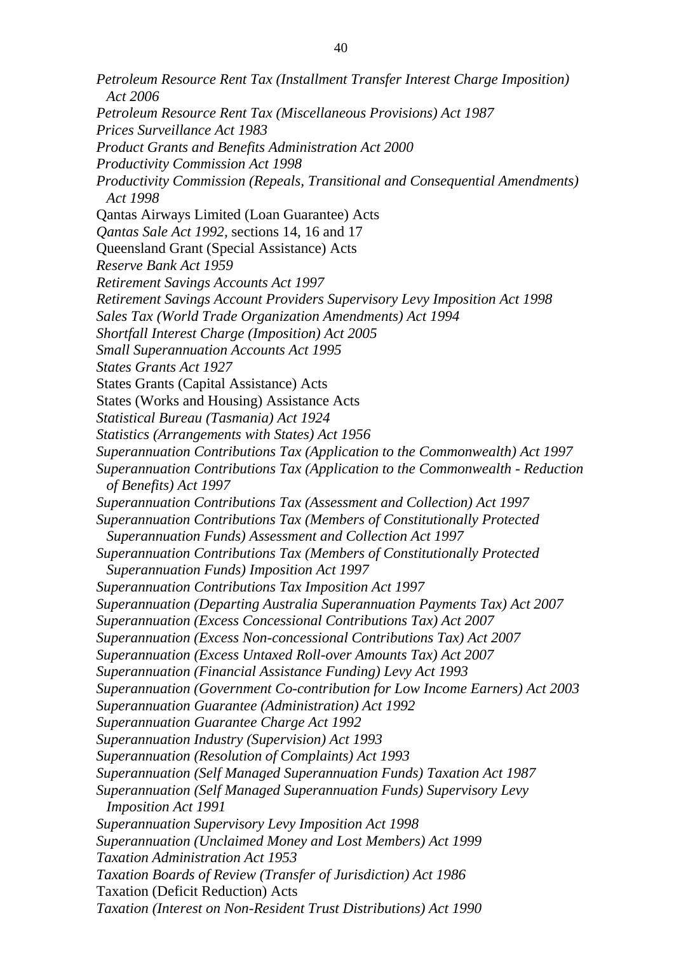*Petroleum Resource Rent Tax (Installment Transfer Interest Charge Imposition) Act 2006 Petroleum Resource Rent Tax (Miscellaneous Provisions) Act 1987 Prices Surveillance Act 1983 Product Grants and Benefits Administration Act 2000 Productivity Commission Act 1998 Productivity Commission (Repeals, Transitional and Consequential Amendments) Act 1998*  Qantas Airways Limited (Loan Guarantee) Acts *Qantas Sale Act 1992,* sections 14, 16 and 17 Queensland Grant (Special Assistance) Acts *Reserve Bank Act 1959 Retirement Savings Accounts Act 1997 Retirement Savings Account Providers Supervisory Levy Imposition Act 1998 Sales Tax (World Trade Organization Amendments) Act 1994 Shortfall Interest Charge (Imposition) Act 2005 Small Superannuation Accounts Act 1995 States Grants Act 1927*  States Grants (Capital Assistance) Acts States (Works and Housing) Assistance Acts *Statistical Bureau (Tasmania) Act 1924 Statistics (Arrangements with States) Act 1956 Superannuation Contributions Tax (Application to the Commonwealth) Act 1997 Superannuation Contributions Tax (Application to the Commonwealth - Reduction of Benefits) Act 1997 Superannuation Contributions Tax (Assessment and Collection) Act 1997 Superannuation Contributions Tax (Members of Constitutionally Protected Superannuation Funds) Assessment and Collection Act 1997 Superannuation Contributions Tax (Members of Constitutionally Protected Superannuation Funds) Imposition Act 1997 Superannuation Contributions Tax Imposition Act 1997 Superannuation (Departing Australia Superannuation Payments Tax) Act 2007 Superannuation (Excess Concessional Contributions Tax) Act 2007 Superannuation (Excess Non-concessional Contributions Tax) Act 2007 Superannuation (Excess Untaxed Roll-over Amounts Tax) Act 2007 Superannuation (Financial Assistance Funding) Levy Act 1993 Superannuation (Government Co-contribution for Low Income Earners) Act 2003 Superannuation Guarantee (Administration) Act 1992 Superannuation Guarantee Charge Act 1992 Superannuation Industry (Supervision) Act 1993 Superannuation (Resolution of Complaints) Act 1993 Superannuation (Self Managed Superannuation Funds) Taxation Act 1987 Superannuation (Self Managed Superannuation Funds) Supervisory Levy Imposition Act 1991 Superannuation Supervisory Levy Imposition Act 1998 Superannuation (Unclaimed Money and Lost Members) Act 1999 Taxation Administration Act 1953 Taxation Boards of Review (Transfer of Jurisdiction) Act 1986*  Taxation (Deficit Reduction) Acts *Taxation (Interest on Non-Resident Trust Distributions) Act 1990*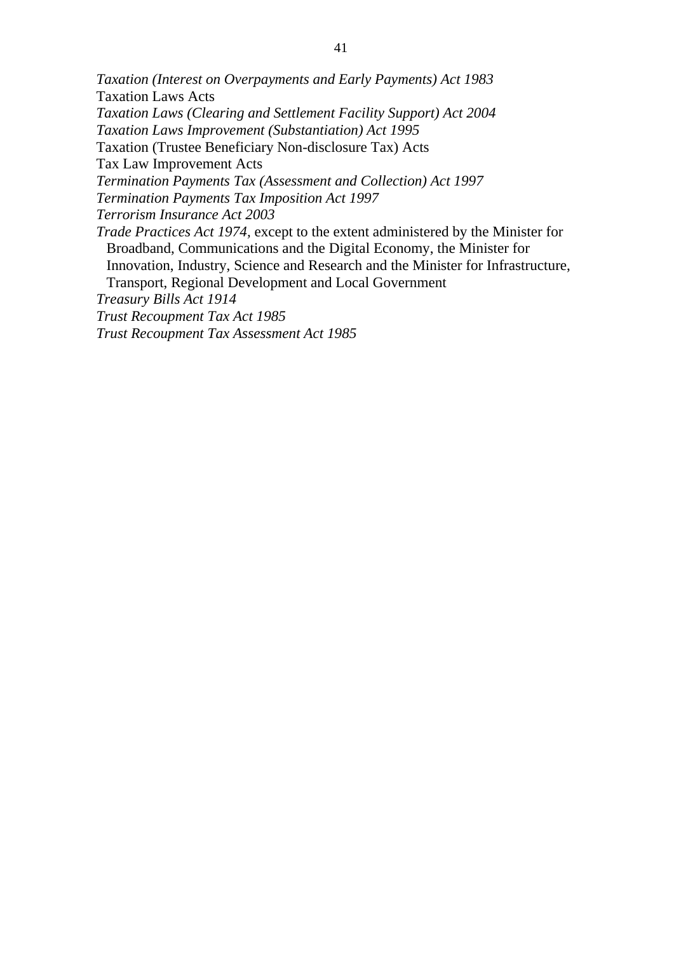*Taxation (Interest on Overpayments and Early Payments) Act 1983*  Taxation Laws Acts *Taxation Laws (Clearing and Settlement Facility Support) Act 2004 Taxation Laws Improvement (Substantiation) Act 1995*  Taxation (Trustee Beneficiary Non-disclosure Tax) Acts Tax Law Improvement Acts *Termination Payments Tax (Assessment and Collection) Act 1997 Termination Payments Tax Imposition Act 1997 Terrorism Insurance Act 2003 Trade Practices Act 1974,* except to the extent administered by the Minister for Broadband, Communications and the Digital Economy, the Minister for Innovation, Industry, Science and Research and the Minister for Infrastructure, Transport, Regional Development and Local Government *Treasury Bills Act 1914* 

*Trust Recoupment Tax Act 1985* 

*Trust Recoupment Tax Assessment Act 1985*